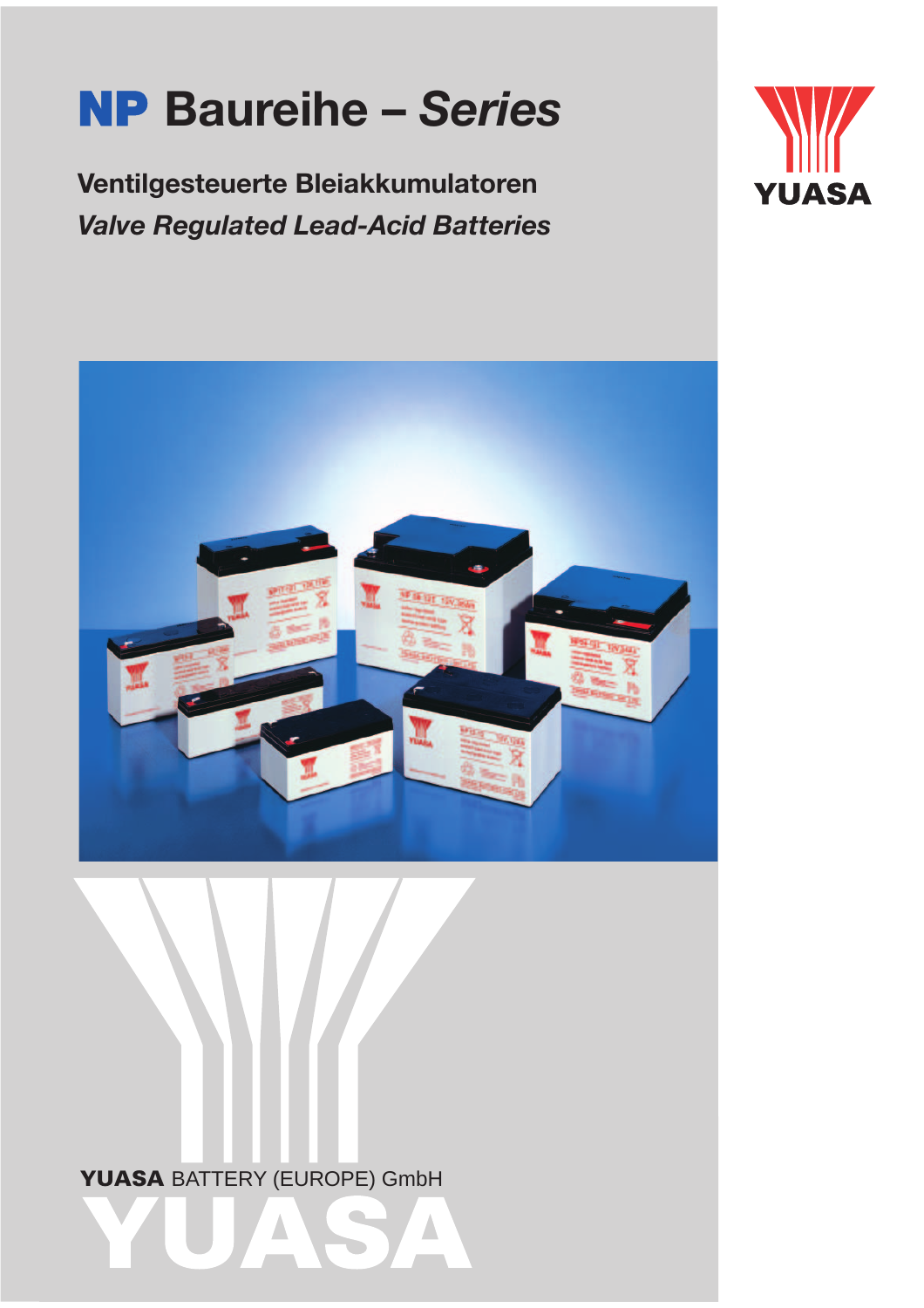# **NP Baureihe –** *Series*

**Ventilgesteuerte Bleiakkumulatoren** *Valve Regulated Lead-Acid Batteries*





**YUASA** BATTERY (EUROPE) GmbH **YUASA**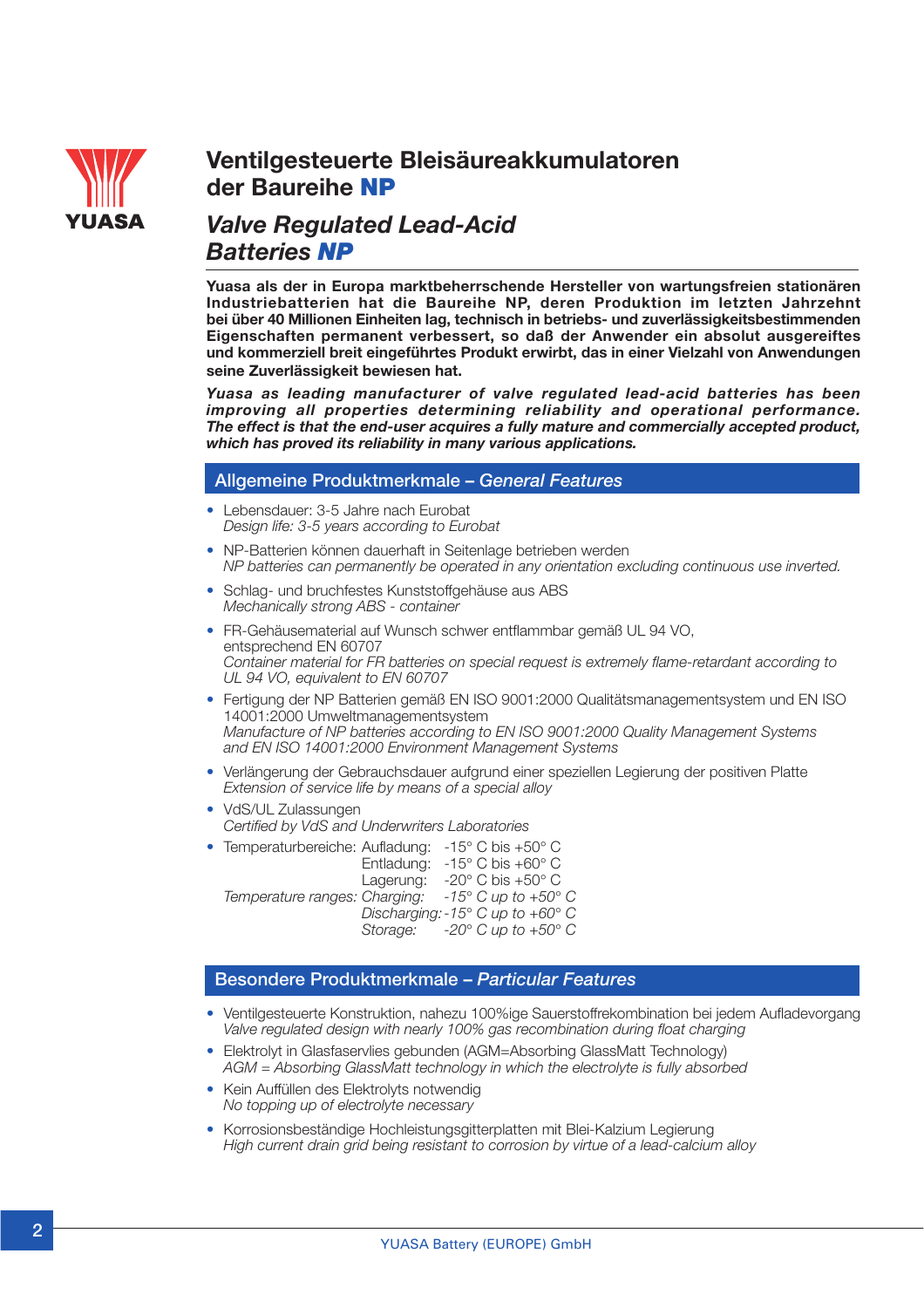

# **Ventilgesteuerte Bleisäureakkumulatoren der Baureihe NP**

# *Valve Regulated Lead-Acid Batteries NP*

**Yuasa als der in Europa marktbeherrschende Hersteller von wartungsfreien stationären Industriebatterien hat die Baureihe NP, deren Produktion im letzten Jahrzehnt bei über 40 Millionen Einheiten lag, technisch in betriebs- und zuverlässigkeitsbestimmenden Eigenschaften permanent verbessert, so daß der Anwender ein absolut ausgereiftes und kommerziell breit eingeführtes Produkt erwirbt, das in einer Vielzahl von Anwendungen seine Zuverlässigkeit bewiesen hat.**

*Yuasa as leading manufacturer of valve regulated lead-acid batteries has been improving all properties determining reliability and operational performance. The effect is that the end-user acquires a fully mature and commercially accepted product, which has proved its reliability in many various applications.*

### **Allgemeine Produktmerkmale –** *General Features*

- Lebensdauer: 3-5 Jahre nach Eurobat *Design life: 3-5 years according to Eurobat*
- NP-Batterien können dauerhaft in Seitenlage betrieben werden *NP batteries can permanently be operated in any orientation excluding continuous use inverted.*
- Schlag- und bruchfestes Kunststoffgehäuse aus ABS *Mechanically strong ABS - container*
- FR-Gehäusematerial auf Wunsch schwer entflammbar gemäß UL 94 VO, entsprechend EN 60707 *Container material for FR batteries on special request is extremely flame-retardant according to UL 94 VO, equivalent to EN 60707*
- Fertigung der NP Batterien gemäß EN ISO 9001:2000 Qualitätsmanagementsystem und EN ISO 14001:2000 Umweltmanagementsystem *Manufacture of NP batteries according to EN ISO 9001:2000 Quality Management Systems and EN ISO 14001:2000 Environment Management Systems*
- Verlängerung der Gebrauchsdauer aufgrund einer speziellen Legierung der positiven Platte *Extension of service life by means of a special alloy*
- VdS/UL Zulassungen *Certified by VdS and Underwriters Laboratories*
- Temperaturbereiche: Aufladung: -15° C bis +50° C Entladung: -15° C bis +60° C<br>Lagerung: -20° C bis +50° C -20° C bis +50° C<br>-15° C up to +50° C *Temperature ranges: Charging: Discharging:-15*° *C up to +60*° *C Storage: -20*° *C up to +50*° *C*

#### **Besondere Produktmerkmale –** *Particular Features*

- Ventilgesteuerte Konstruktion, nahezu 100%ige Sauerstoffrekombination bei jedem Aufladevorgang *Valve regulated design with nearly 100% gas recombination during float charging*
- Elektrolyt in Glasfaservlies gebunden (AGM=Absorbing GlassMatt Technology) *AGM = Absorbing GlassMatt technology in which the electrolyte is fully absorbed*
- Kein Auffüllen des Elektrolyts notwendig *No topping up of electrolyte necessary*
- Korrosionsbeständige Hochleistungsgitterplatten mit Blei-Kalzium Legierung *High current drain grid being resistant to corrosion by virtue of a lead-calcium alloy*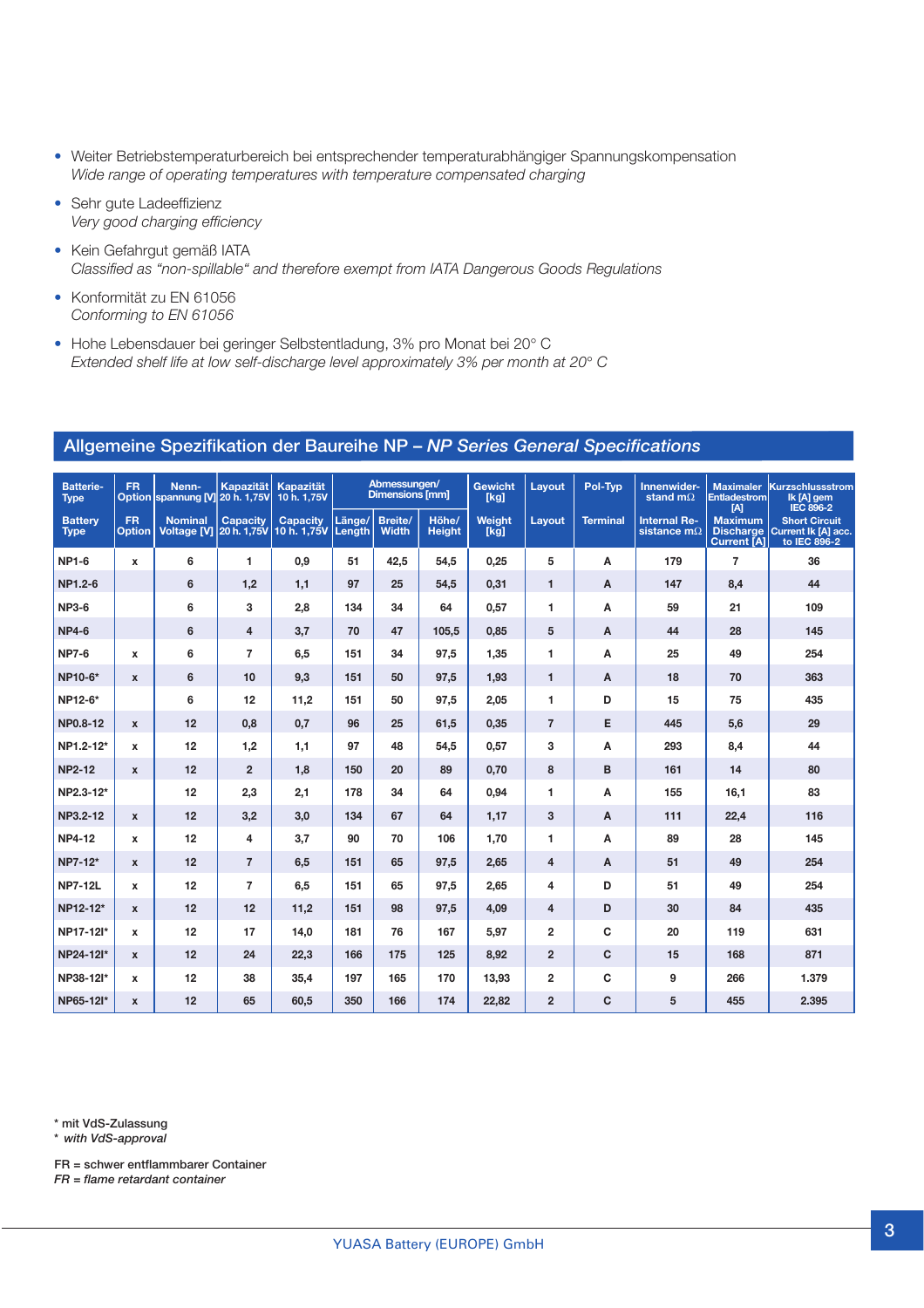- Weiter Betriebstemperaturbereich bei entsprechender temperaturabhängiger Spannungskompensation *Wide range of operating temperatures with temperature compensated charging*
- *•* Sehr gute Ladeeffizienz *Very good charging efficiency*
- Kein Gefahrgut gemäß IATA *Classified as "non-spillable" and therefore exempt from IATA Dangerous Goods Regulations*
- Konformität zu EN 61056 *Conforming to EN 61056*
- Hohe Lebensdauer bei geringer Selbstentladung, 3% pro Monat bei 20° C *Extended shelf life at low self-discharge level approximately 3% per month at 20*° *C*

| <b>Batterie-</b><br><b>Type</b> | <b>FR</b>                  | Nenn-<br>Option spannung [V] 20 h. 1,75V  | <b>Kapazität</b> | <b>Kapazität</b><br>10 h. 1.75V       |        | Abmessungen/<br><b>Dimensions [mm]</b> |                        | <b>Gewicht</b><br>[kg] | Lavout         | Pol-Typ         | Innenwider-<br>stand m $\Omega$           | <b>Maximaler</b><br><b>Entladestrom</b><br>[A]           | Kurzschlussstrom<br>Ik [A] gem<br><b>IEC 896-2</b>          |
|---------------------------------|----------------------------|-------------------------------------------|------------------|---------------------------------------|--------|----------------------------------------|------------------------|------------------------|----------------|-----------------|-------------------------------------------|----------------------------------------------------------|-------------------------------------------------------------|
| <b>Battery</b><br><b>Type</b>   | <b>FR</b><br><b>Option</b> | <b>Nominal</b><br>Voltage [V] 20 h. 1,75V | <b>Capacity</b>  | <b>Capacity</b><br>10 h. 1,75V Length | Länge/ | <b>Breite/</b><br><b>Width</b>         | Höhe/<br><b>Height</b> | Weight<br>[k]          | Layout         | <b>Terminal</b> | <b>Internal Re-</b><br>sistance $m\Omega$ | <b>Maximum</b><br><b>Discharge</b><br><b>Current [A]</b> | <b>Short Circuit</b><br>Current Ik [A] acc.<br>to IEC 896-2 |
| <b>NP1-6</b>                    | $\mathbf{x}$               | 6                                         | 1                | 0.9                                   | 51     | 42,5                                   | 54,5                   | 0.25                   | 5              | A               | 179                                       | $\overline{7}$                                           | 36                                                          |
| NP1.2-6                         |                            | 6                                         | 1,2              | 1.1                                   | 97     | 25                                     | 54.5                   | 0.31                   | $\mathbf{1}$   | A               | 147                                       | 8.4                                                      | 44                                                          |
| <b>NP3-6</b>                    |                            | 6                                         | 3                | 2,8                                   | 134    | 34                                     | 64                     | 0.57                   | 1              | A               | 59                                        | 21                                                       | 109                                                         |
| <b>NP4-6</b>                    |                            | 6                                         | $\overline{4}$   | 3.7                                   | 70     | 47                                     | 105.5                  | 0.85                   | 5              | A               | 44                                        | 28                                                       | 145                                                         |
| <b>NP7-6</b>                    | $\mathbf{x}$               | 6                                         | $\overline{7}$   | 6,5                                   | 151    | 34                                     | 97.5                   | 1.35                   | 1              | A               | 25                                        | 49                                                       | 254                                                         |
| NP10-6*                         | $\mathbf{x}$               | 6                                         | 10               | 9.3                                   | 151    | 50                                     | 97,5                   | 1.93                   | $\mathbf{1}$   | A               | 18                                        | 70                                                       | 363                                                         |
| NP12-6*                         |                            | 6                                         | 12               | 11,2                                  | 151    | 50                                     | 97,5                   | 2.05                   | 1              | D               | 15                                        | 75                                                       | 435                                                         |
| NP0.8-12                        | $\mathbf{x}$               | 12                                        | 0.8              | 0.7                                   | 96     | 25                                     | 61,5                   | 0.35                   | $\overline{7}$ | Е               | 445                                       | 5.6                                                      | 29                                                          |
| NP1.2-12*                       | x                          | 12                                        | 1,2              | 1.1                                   | 97     | 48                                     | 54.5                   | 0.57                   | 3              | A               | 293                                       | 8,4                                                      | 44                                                          |
| <b>NP2-12</b>                   | $\mathbf{x}$               | 12                                        | $\overline{2}$   | 1.8                                   | 150    | 20                                     | 89                     | 0.70                   | 8              | B               | 161                                       | 14                                                       | 80                                                          |
| NP2.3-12*                       |                            | 12                                        | 2,3              | 2,1                                   | 178    | 34                                     | 64                     | 0,94                   | 1              | A               | 155                                       | 16,1                                                     | 83                                                          |
| NP3.2-12                        | $\mathbf{x}$               | 12                                        | 3,2              | 3,0                                   | 134    | 67                                     | 64                     | 1,17                   | 3              | A               | 111                                       | 22,4                                                     | 116                                                         |
| <b>NP4-12</b>                   | $\mathbf{x}$               | 12                                        | 4                | 3,7                                   | 90     | 70                                     | 106                    | 1,70                   | 1              | A               | 89                                        | 28                                                       | 145                                                         |
| NP7-12*                         | $\mathbf{x}$               | 12                                        | $\overline{7}$   | 6,5                                   | 151    | 65                                     | 97,5                   | 2.65                   | $\overline{4}$ | A               | 51                                        | 49                                                       | 254                                                         |
| <b>NP7-12L</b>                  | $\mathbf{x}$               | 12                                        | $\overline{7}$   | 6,5                                   | 151    | 65                                     | 97,5                   | 2.65                   | 4              | D               | 51                                        | 49                                                       | 254                                                         |
| NP12-12*                        | $\mathbf{x}$               | 12                                        | 12               | 11,2                                  | 151    | 98                                     | 97,5                   | 4.09                   | 4              | D               | 30                                        | 84                                                       | 435                                                         |
| NP17-12I*                       | $\mathbf{x}$               | 12                                        | 17               | 14,0                                  | 181    | 76                                     | 167                    | 5.97                   | $\overline{2}$ | C               | 20                                        | 119                                                      | 631                                                         |
| NP24-12I*                       | $\mathbf{x}$               | 12                                        | 24               | 22,3                                  | 166    | 175                                    | 125                    | 8,92                   | $\overline{2}$ | C               | 15                                        | 168                                                      | 871                                                         |
| NP38-12I*                       | $\mathbf{x}$               | 12                                        | 38               | 35,4                                  | 197    | 165                                    | 170                    | 13,93                  | $\overline{2}$ | C               | 9                                         | 266                                                      | 1.379                                                       |
| NP65-12I*                       | $\mathbf{x}$               | 12                                        | 65               | 60.5                                  | 350    | 166                                    | 174                    | 22,82                  | $\overline{2}$ | C               | 5                                         | 455                                                      | 2.395                                                       |

#### **Allgemeine Spezifikation der Baureihe NP –** *NP Series General Specifications*

**\* mit VdS-Zulassung**

**\*** *with VdS-approval*

**FR = schwer entflammbarer Container**

*FR = flame retardant container*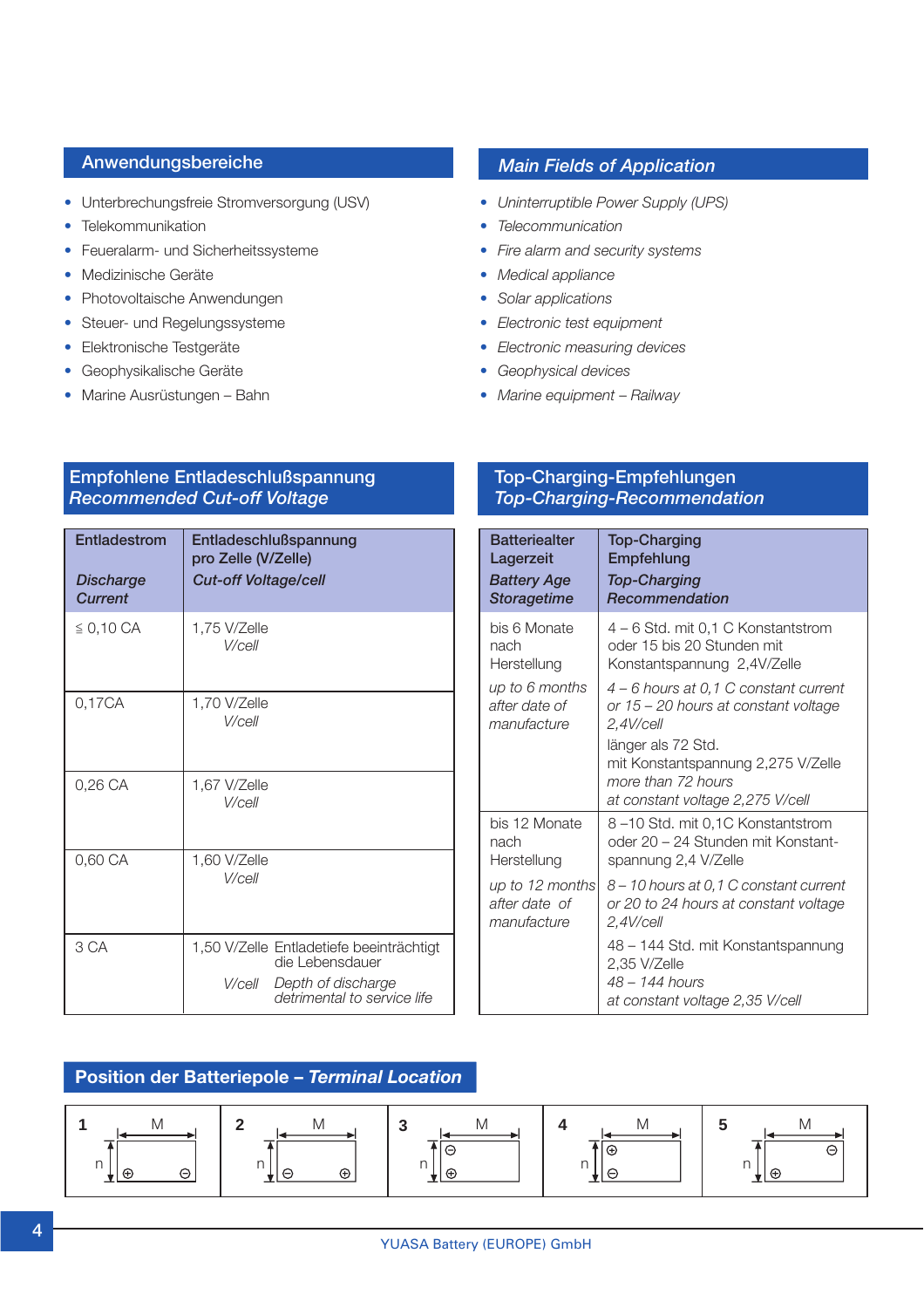- Unterbrechungsfreie Stromversorgung (USV)
- Telekommunikation
- Feueralarm- und Sicherheitssysteme
- Medizinische Geräte
- Photovoltaische Anwendungen
- Steuer- und Regelungssysteme
- Elektronische Testgeräte
- Geophysikalische Geräte
- Marine Ausrüstungen Bahn

# **Anwendungsbereiche** *Main Fields of Application*

- *• Uninterruptible Power Supply (UPS)*
- *• Telecommunication*
- *• Fire alarm and security systems*
- *• Medical appliance*
- *• Solar applications*
- *• Electronic test equipment*
- *• Electronic measuring devices*
- *• Geophysical devices*
- *• Marine equipment* – *Railway*

# **Empfohlene Entladeschlußspannung Top-Charging-Empfehlungen** *Recommended Cut-off Voltage Top-Charging-Recommendation*

| Entladestrom<br><b>Discharge</b><br><b>Current</b> | Entladeschlußspannung<br>pro Zelle (V/Zelle)<br><b>Cut-off Voltage/cell</b>                                                | <b>Batteriealter</b><br>Lagerzeit<br><b>Battery Age</b><br><b>Storagetime</b> | <b>Top-Charging</b><br>Empfehlung<br><b>Top-Charging</b><br>Recommendation                                       |
|----------------------------------------------------|----------------------------------------------------------------------------------------------------------------------------|-------------------------------------------------------------------------------|------------------------------------------------------------------------------------------------------------------|
| $\leq 0,10 \text{ CA}$                             | 1,75 V/Zelle<br>V/cell                                                                                                     | bis 6 Monate<br>nach<br>Herstellung                                           | 4 - 6 Std. mit 0,1 C Konstantstrom<br>oder 15 bis 20 Stunden mit<br>Konstantspannung 2,4V/Zelle                  |
| 0,17CA                                             | 1,70 V/Zelle<br>V/cell                                                                                                     | up to 6 months<br>after date of<br>manufacture                                | 4 - 6 hours at 0,1 C constant curre<br>or 15 - 20 hours at constant voltag<br>$2.4$ V/cell                       |
| 0,26 CA                                            | 1,67 V/Zelle<br>V/cell                                                                                                     |                                                                               | länger als 72 Std.<br>mit Konstantspannung 2,275 V/Zel<br>more than 72 hours<br>at constant voltage 2,275 V/cell |
| 0,60 CA                                            | 1,60 V/Zelle                                                                                                               | bis 12 Monate<br>nach<br>Herstellung                                          | 8-10 Std. mit 0,1C Konstantstrom<br>oder 20 - 24 Stunden mit Konstant<br>spannung 2,4 V/Zelle                    |
|                                                    | V/cell                                                                                                                     | up to 12 months<br>after date of<br>manufacture                               | 8 - 10 hours at 0,1 C constant curre<br>or 20 to 24 hours at constant voltage<br>$2,4$ V/cell                    |
| 3 CA                                               | 1,50 V/Zelle Entladetiefe beeinträchtigt<br>die Lebensdauer<br>Depth of discharge<br>V/cell<br>detrimental to service life |                                                                               | 48 - 144 Std. mit Konstantspannur<br>2,35 V/Zelle<br>$48 - 144$ hours<br>at constant voltage 2,35 V/cell         |

| deschlußspannung<br>Zelle (V/Zelle)<br>off Voltage/cell                                                               | <b>Batteriealter</b><br>Lagerzeit<br><b>Battery Age</b><br><b>Storagetime</b> | <b>Top-Charging</b><br>Empfehlung<br><b>Top-Charging</b><br>Recommendation                                                                                |
|-----------------------------------------------------------------------------------------------------------------------|-------------------------------------------------------------------------------|-----------------------------------------------------------------------------------------------------------------------------------------------------------|
| V/Zelle<br>V/cell                                                                                                     | bis 6 Monate<br>nach<br>Herstellung                                           | 4 – 6 Std. mit 0,1 C Konstantstrom<br>oder 15 bis 20 Stunden mit<br>Konstantspannung 2,4V/Zelle                                                           |
| V/Zelle<br>V/cell                                                                                                     | up to 6 months<br>after date of<br>manufacture                                | 4 - 6 hours at 0,1 C constant current<br>or 15 - 20 hours at constant voltage<br>$2.4$ V/cell<br>länger als 72 Std.<br>mit Konstantspannung 2,275 V/Zelle |
| V/Zelle<br>V/cell                                                                                                     |                                                                               | more than 72 hours<br>at constant voltage 2,275 V/cell                                                                                                    |
| V/Zelle                                                                                                               | bis 12 Monate<br>nach<br>Herstellung                                          | 8-10 Std. mit 0,1C Konstantstrom<br>oder 20 - 24 Stunden mit Konstant-<br>spannung 2,4 V/Zelle                                                            |
| V/cell                                                                                                                | up to 12 months<br>after date of<br>manufacture                               | 8 – 10 hours at 0,1 C constant current<br>or 20 to 24 hours at constant voltage<br>$2,4$ V/cell                                                           |
| V/Zelle Entladetiefe beeinträchtigt<br>die Lebensdauer<br>V/cell<br>Depth of discharge<br>detrimental to service life |                                                                               | 48 - 144 Std. mit Konstantspannung<br>2,35 V/Zelle<br>48 - 144 hours<br>at constant voltage 2,35 V/cell                                                   |

### **Position der Batteriepole –** *Terminal Location*

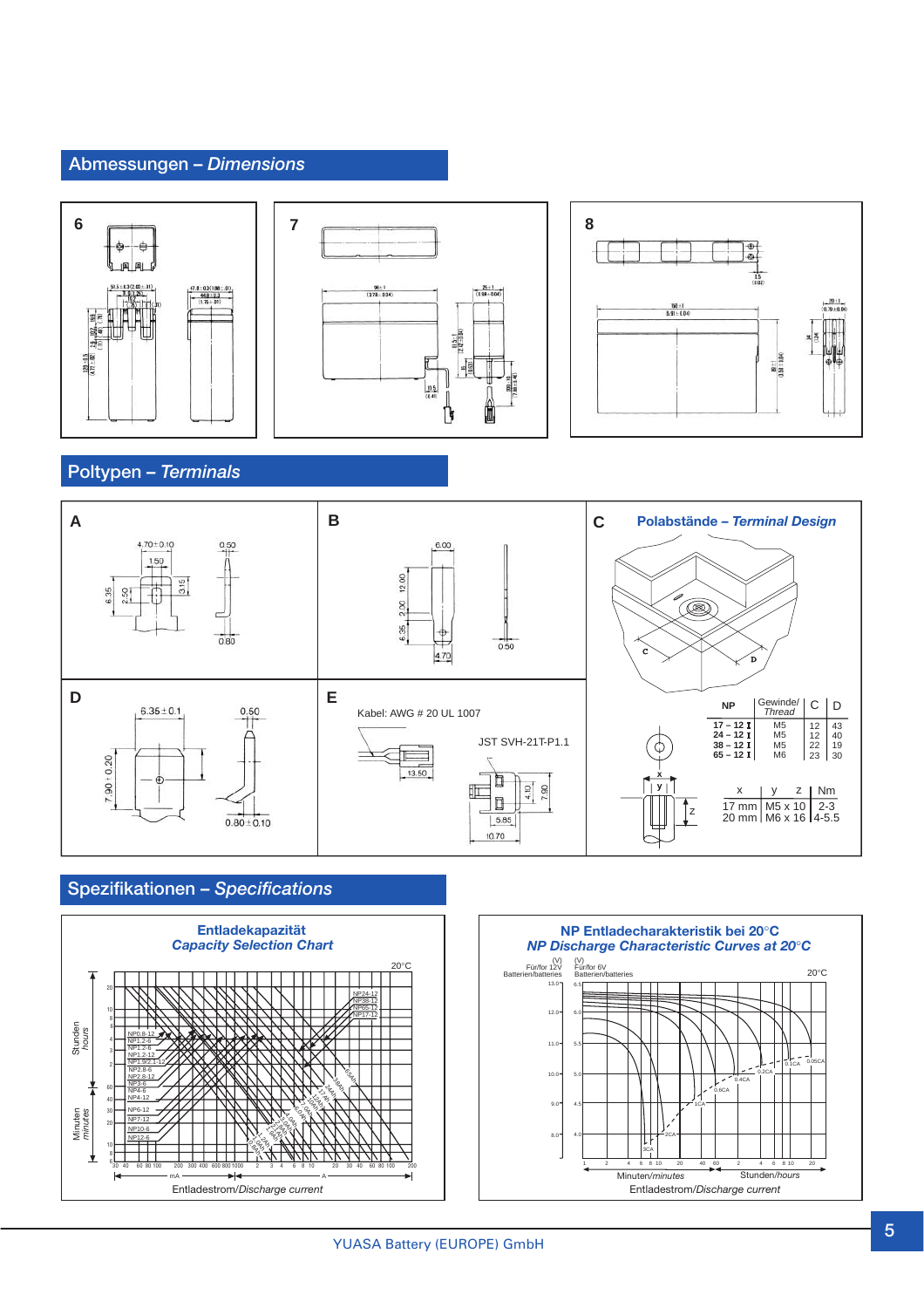# **Abmessungen –** *Dimensions*







**Poltypen –** *Terminals*



# **Spezifikationen –** *Specifications*



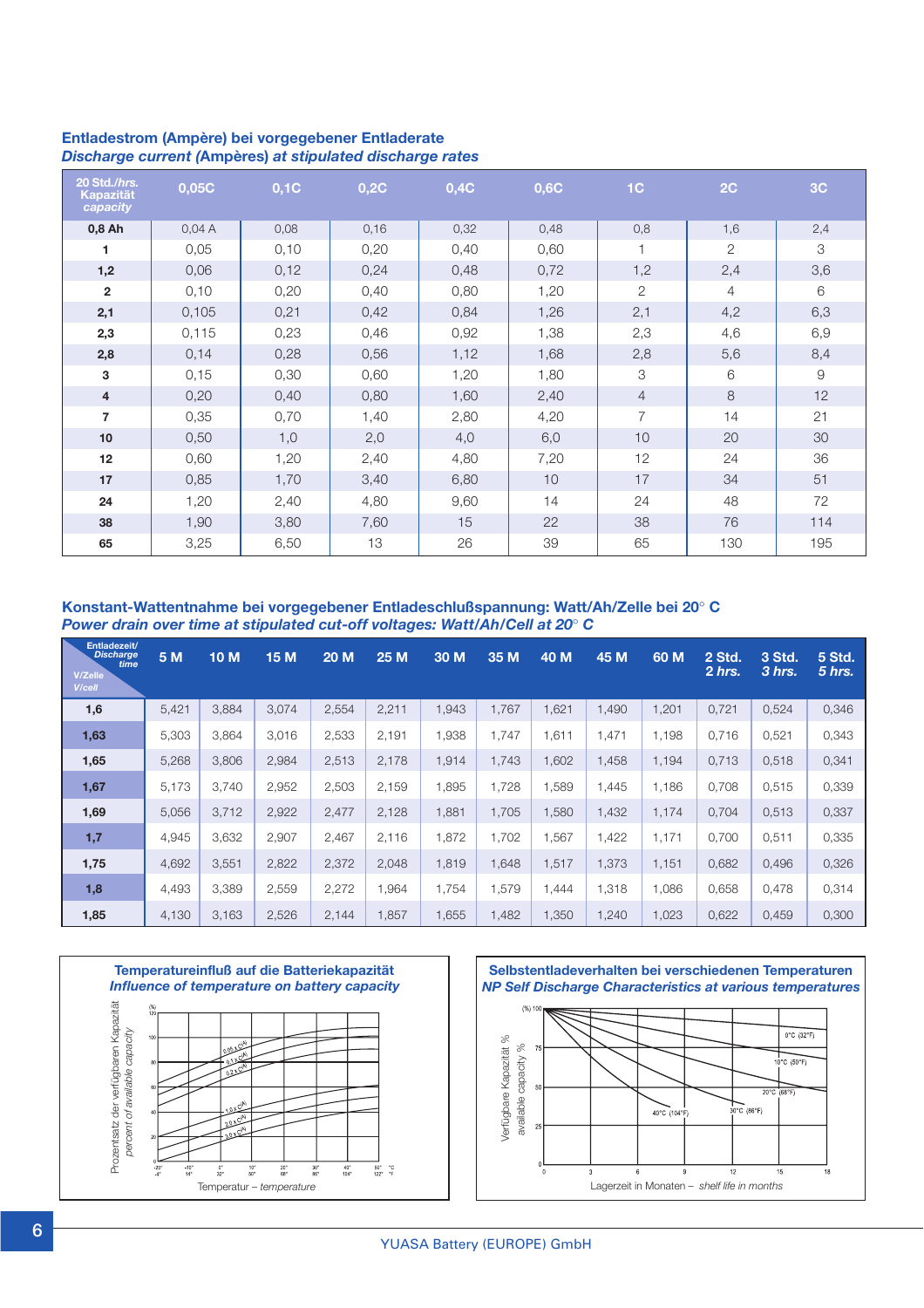| 20 Std./hrs.<br>Kapazität<br>capacity | 0,05C | 0,1C | 0,2C | 0,4C | 0,6C | 1 <sub>C</sub>        | 2C                    | 3C  |
|---------------------------------------|-------|------|------|------|------|-----------------------|-----------------------|-----|
| 0,8 Ah                                | 0,04A | 0,08 | 0,16 | 0,32 | 0,48 | 0,8                   | 1,6                   | 2,4 |
| 1                                     | 0,05  | 0,10 | 0,20 | 0,40 | 0,60 |                       | $\mathbf{2}^{\prime}$ | 3   |
| 1,2                                   | 0,06  | 0,12 | 0,24 | 0,48 | 0,72 | 1,2                   | 2,4                   | 3,6 |
| $\overline{2}$                        | 0,10  | 0,20 | 0,40 | 0,80 | 1,20 | $\mathbf{2}^{\prime}$ | $\overline{4}$        | 6   |
| 2,1                                   | 0,105 | 0,21 | 0,42 | 0,84 | 1,26 | 2,1                   | 4,2                   | 6,3 |
| 2,3                                   | 0,115 | 0,23 | 0,46 | 0,92 | 1,38 | 2,3                   | 4,6                   | 6,9 |
| 2,8                                   | 0,14  | 0,28 | 0,56 | 1,12 | 1,68 | 2,8                   | 5,6                   | 8,4 |
| 3                                     | 0,15  | 0,30 | 0,60 | 1,20 | 1,80 | 3                     | 6                     | 9   |
| $\overline{4}$                        | 0,20  | 0,40 | 0,80 | 1,60 | 2,40 | $\overline{4}$        | 8                     | 12  |
| $\overline{7}$                        | 0,35  | 0,70 | 1,40 | 2,80 | 4,20 | $\overline{7}$        | 14                    | 21  |
| 10                                    | 0,50  | 1,0  | 2,0  | 4,0  | 6,0  | 10                    | 20                    | 30  |
| 12                                    | 0,60  | 1,20 | 2,40 | 4,80 | 7,20 | 12                    | 24                    | 36  |
| 17                                    | 0,85  | 1,70 | 3,40 | 6,80 | 10   | 17                    | 34                    | 51  |
| 24                                    | 1,20  | 2,40 | 4,80 | 9,60 | 14   | 24                    | 48                    | 72  |
| 38                                    | 1,90  | 3,80 | 7,60 | 15   | 22   | 38                    | 76                    | 114 |
| 65                                    | 3,25  | 6,50 | 13   | 26   | 39   | 65                    | 130                   | 195 |

#### **Entladestrom (Ampère) bei vorgegebener Entladerate** *Discharge current (***Ampères)** *at stipulated discharge rates*

**Konstant-Wattentnahme bei vorgegebener Entladeschlußspannung: Watt/Ah/Zelle bei 20**° **C** *Power drain over time at stipulated cut-off voltages: Watt/Ah/Cell at 20*° *C*

| Entladezeit/<br><b>Discharge</b><br>time<br>V/Zelle<br>V/cell | 5 M   | 10 M  | 15 M  | 20 M  | 25 M  | 30 M  | 35 M  | 40 M  | 45 M  | 60 M  | 2 Std.<br>2 hrs. | 3 Std.<br>3 hrs. | 5 Std.<br>5 hrs. |
|---------------------------------------------------------------|-------|-------|-------|-------|-------|-------|-------|-------|-------|-------|------------------|------------------|------------------|
| 1,6                                                           | 5,421 | 3,884 | 3,074 | 2,554 | 2,211 | 1,943 | 1,767 | 1,621 | 1,490 | 1,201 | 0,721            | 0,524            | 0,346            |
| 1,63                                                          | 5,303 | 3,864 | 3,016 | 2,533 | 2,191 | 1,938 | 1,747 | 1,611 | 1,471 | 1,198 | 0,716            | 0,521            | 0,343            |
| 1,65                                                          | 5,268 | 3.806 | 2,984 | 2,513 | 2,178 | 1.914 | 1,743 | 1,602 | 1,458 | 1,194 | 0.713            | 0,518            | 0,341            |
| 1,67                                                          | 5,173 | 3,740 | 2,952 | 2,503 | 2,159 | ,895  | 1,728 | ,589  | 1,445 | 1,186 | 0,708            | 0,515            | 0,339            |
| 1,69                                                          | 5,056 | 3,712 | 2,922 | 2,477 | 2,128 | 1,881 | 1,705 | 1,580 | 1,432 | 1,174 | 0,704            | 0,513            | 0,337            |
| 1,7                                                           | 4,945 | 3,632 | 2,907 | 2,467 | 2,116 | 1,872 | 1,702 | 1,567 | 1,422 | 1,171 | 0,700            | 0,511            | 0,335            |
| 1,75                                                          | 4,692 | 3,551 | 2,822 | 2,372 | 2,048 | 1,819 | 1,648 | 1,517 | 1,373 | 1,151 | 0,682            | 0,496            | 0,326            |
| 1,8                                                           | 4,493 | 3.389 | 2,559 | 2,272 | 1.964 | 1.754 | 1,579 | 1.444 | 1,318 | 1,086 | 0,658            | 0.478            | 0,314            |
| 1,85                                                          | 4,130 | 3.163 | 2,526 | 2,144 | 1,857 | 1,655 | 1,482 | 1,350 | 1,240 | 1,023 | 0,622            | 0,459            | 0,300            |



**Selbstentladeverhalten bei verschiedenen Temperaturen** *NP Self Discharge Characteristics at various temperatures*  $(% )$ 

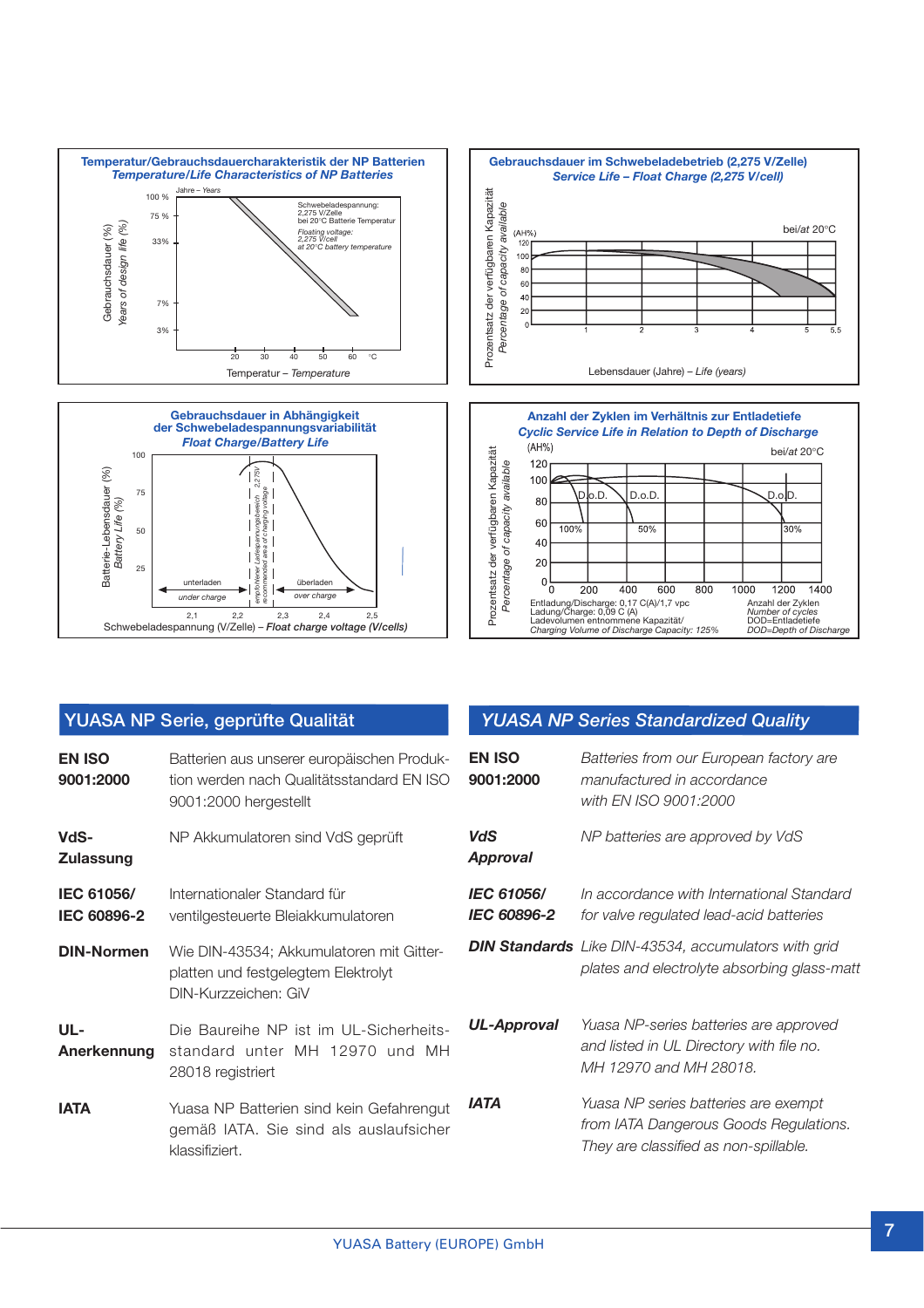





|                                  | YUASA NP Serie, geprüfte Qualität                                                                                |                               | <b>YUASA NP Series Standardized Quality</b>                                                                             |
|----------------------------------|------------------------------------------------------------------------------------------------------------------|-------------------------------|-------------------------------------------------------------------------------------------------------------------------|
| <b>EN ISO</b><br>9001:2000       | Batterien aus unserer europäischen Produk-<br>tion werden nach Qualitätsstandard FN ISO<br>9001:2000 hergestellt | <b>EN ISO</b><br>9001:2000    | Batteries from our European factory are<br>manufactured in accordance<br>with EN ISO 9001:2000                          |
| VdS-<br><b>Zulassung</b>         | NP Akkumulatoren sind VdS geprüft                                                                                | <b>VdS</b><br><b>Approval</b> | NP batteries are approved by VdS                                                                                        |
| IEC 61056/<br><b>IEC 60896-2</b> | Internationaler Standard für<br>ventilgesteuerte Bleiakkumulatoren                                               | IEC 61056/<br>IEC 60896-2     | In accordance with International Standard<br>for valve regulated lead-acid batteries                                    |
| <b>DIN-Normen</b>                | Wie DIN-43534; Akkumulatoren mit Gitter-<br>platten und festgelegtem Elektrolyt<br>DIN-Kurzzeichen: GiV          |                               | <b>DIN Standards</b> Like DIN-43534, accumulators with grid<br>plates and electrolyte absorbing glass-matt              |
| $UL -$<br>Anerkennung            | Die Baureihe NP ist im UL-Sicherheits-<br>standard unter MH 12970 und MH<br>28018 registriert                    | <b>UL-Approval</b>            | Yuasa NP-series batteries are approved<br>and listed in UL Directory with file no.<br>MH 12970 and MH 28018.            |
| <b>IATA</b>                      | Yuasa NP Batterien sind kein Gefahrengut<br>gemäß IATA. Sie sind als auslaufsicher<br>klassifiziert.             | <b>IATA</b>                   | Yuasa NP series batteries are exempt<br>from IATA Dangerous Goods Regulations.<br>They are classified as non-spillable. |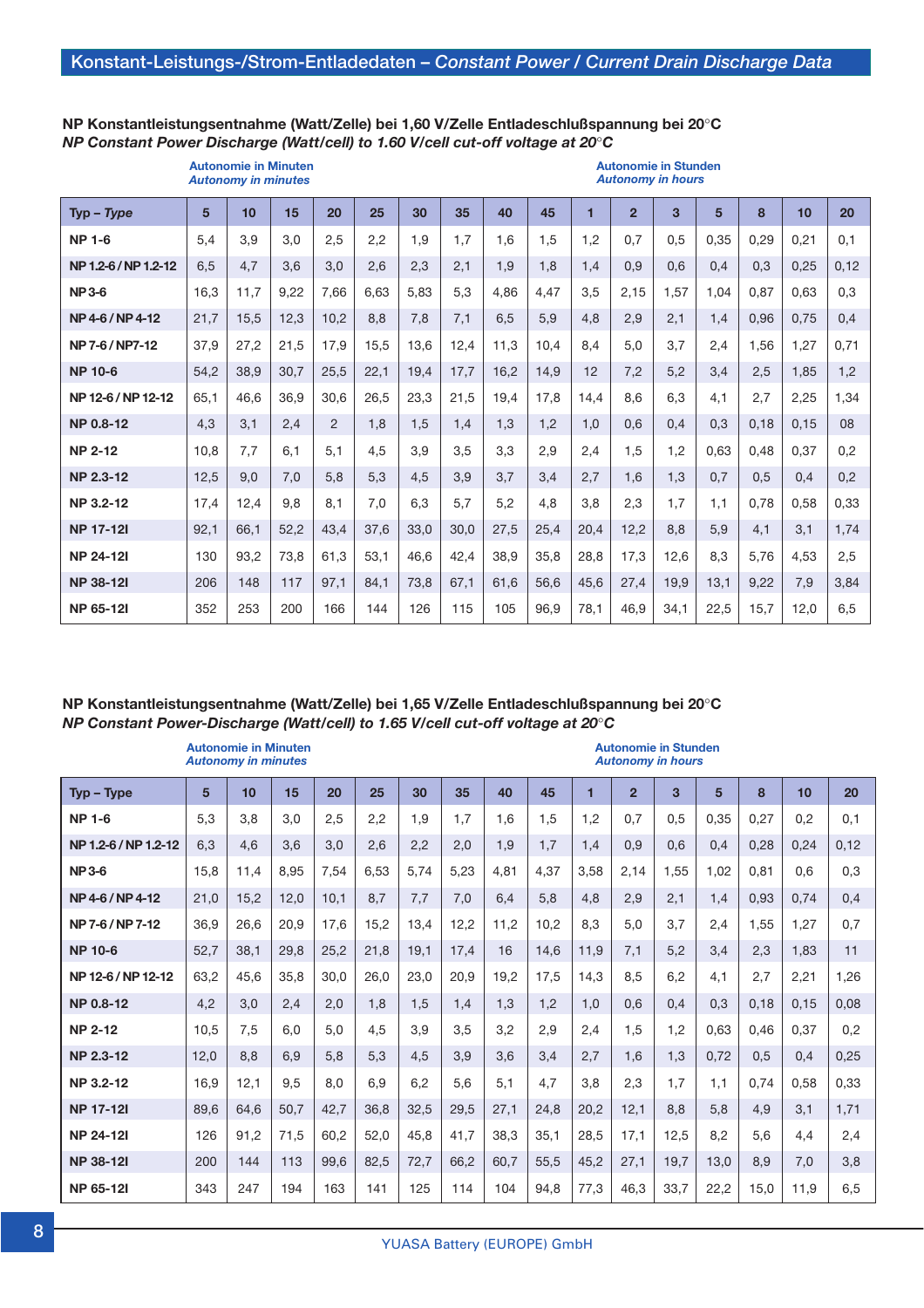**Autonomie in Minuten Autonomie in Stunden**

#### **NP Konstantleistungsentnahme (Watt/Zelle) bei 1,60 V/Zelle Entladeschlußspannung bei 20**°**C** *NP Constant Power Discharge (Watt/cell) to 1.60 V/cell cut-off voltage at 20*°*C*

|                      |      | <b>Autonomy in minutes</b> |      |      |      |      |      |      |      |      | <b>Autonomy in hours</b> |                |      |      |      |      |
|----------------------|------|----------------------------|------|------|------|------|------|------|------|------|--------------------------|----------------|------|------|------|------|
| $Type - Type$        | 5    | 10                         | 15   | 20   | 25   | 30   | 35   | 40   | 45   | 1    | $\overline{2}$           | $\overline{3}$ | 5    | 8    | 10   | 20   |
| <b>NP 1-6</b>        | 5,4  | 3,9                        | 3.0  | 2,5  | 2,2  | 1.9  | 1.7  | 1.6  | 1.5  | 1.2  | 0.7                      | 0.5            | 0.35 | 0.29 | 0.21 | 0,1  |
| NP 1.2-6 / NP 1.2-12 | 6,5  | 4,7                        | 3.6  | 3,0  | 2,6  | 2,3  | 2.1  | 1.9  | 1,8  | 1.4  | 0.9                      | 0.6            | 0.4  | 0.3  | 0,25 | 0,12 |
| <b>NP3-6</b>         | 16,3 | 11,7                       | 9,22 | 7,66 | 6,63 | 5.83 | 5,3  | 4.86 | 4.47 | 3.5  | 2.15                     | 1.57           | 1.04 | 0.87 | 0.63 | 0,3  |
| NP 4-6 / NP 4-12     | 21,7 | 15,5                       | 12,3 | 10,2 | 8.8  | 7,8  | 7,1  | 6.5  | 5,9  | 4.8  | 2.9                      | 2,1            | 1.4  | 0.96 | 0.75 | 0.4  |
| NP 7-6 / NP7-12      | 37,9 | 27,2                       | 21,5 | 17,9 | 15,5 | 13.6 | 12,4 | 11,3 | 10,4 | 8.4  | 5,0                      | 3.7            | 2,4  | 1.56 | 1.27 | 0,71 |
| <b>NP 10-6</b>       | 54,2 | 38,9                       | 30,7 | 25,5 | 22,1 | 19,4 | 17,7 | 16,2 | 14,9 | 12   | 7,2                      | 5.2            | 3.4  | 2.5  | 1.85 | 1,2  |
| NP 12-6 / NP 12-12   | 65,1 | 46,6                       | 36,9 | 30.6 | 26,5 | 23,3 | 21,5 | 19.4 | 17.8 | 14.4 | 8.6                      | 6.3            | 4.1  | 2.7  | 2.25 | 1.34 |
| <b>NP 0.8-12</b>     | 4,3  | 3.1                        | 2,4  | 2    | 1,8  | 1,5  | 1,4  | 1.3  | 1,2  | 1.0  | 0.6                      | 0.4            | 0.3  | 0.18 | 0.15 | 08   |
| <b>NP 2-12</b>       | 10.8 | 7.7                        | 6.1  | 5,1  | 4.5  | 3,9  | 3,5  | 3,3  | 2.9  | 2,4  | 1.5                      | 1.2            | 0.63 | 0.48 | 0.37 | 0.2  |
| <b>NP 2.3-12</b>     | 12,5 | 9,0                        | 7,0  | 5,8  | 5,3  | 4,5  | 3,9  | 3,7  | 3,4  | 2,7  | 1,6                      | 1,3            | 0.7  | 0.5  | 0.4  | 0,2  |
| <b>NP 3.2-12</b>     | 17,4 | 12,4                       | 9.8  | 8,1  | 7.0  | 6.3  | 5.7  | 5,2  | 4.8  | 3.8  | 2,3                      | 1.7            | 1.1  | 0.78 | 0.58 | 0.33 |
| <b>NP 17-12I</b>     | 92,1 | 66,1                       | 52,2 | 43,4 | 37,6 | 33,0 | 30,0 | 27,5 | 25,4 | 20,4 | 12,2                     | 8.8            | 5.9  | 4.1  | 3.1  | 1.74 |
| <b>NP 24-121</b>     | 130  | 93.2                       | 73.8 | 61,3 | 53.1 | 46.6 | 42,4 | 38,9 | 35,8 | 28,8 | 17,3                     | 12.6           | 8,3  | 5.76 | 4.53 | 2,5  |
| <b>NP 38-121</b>     | 206  | 148                        | 117  | 97,1 | 84,1 | 73,8 | 67,1 | 61,6 | 56,6 | 45,6 | 27,4                     | 19,9           | 13,1 | 9,22 | 7,9  | 3,84 |
| <b>NP 65-121</b>     | 352  | 253                        | 200  | 166  | 144  | 126  | 115  | 105  | 96,9 | 78,1 | 46,9                     | 34,1           | 22,5 | 15,7 | 12.0 | 6,5  |

#### **NP Konstantleistungsentnahme (Watt/Zelle) bei 1,65 V/Zelle Entladeschlußspannung bei 20**°**C** *NP Constant Power-Discharge (Watt/cell) to 1.65 V/cell cut-off voltage at 20*°*C*

|                      |                | <b>Autonomie in Minuten</b><br><b>Autonomy in minutes</b> |      |      |      |      |      |      |      |      |                | <b>Autonomie in Stunden</b><br><b>Autonomy in hours</b> |      |      |      |      |
|----------------------|----------------|-----------------------------------------------------------|------|------|------|------|------|------|------|------|----------------|---------------------------------------------------------|------|------|------|------|
| $Type - Type$        | $5\phantom{1}$ | 10                                                        | 15   | 20   | 25   | 30   | 35   | 40   | 45   | 1    | $\overline{2}$ | $\overline{3}$                                          | 5    | 8    | 10   | 20   |
| <b>NP 1-6</b>        | 5,3            | 3.8                                                       | 3.0  | 2.5  | 2.2  | 1.9  | 1.7  | 1.6  | 1.5  | 1.2  | 0,7            | 0.5                                                     | 0,35 | 0,27 | 0.2  | 0,1  |
| NP 1.2-6 / NP 1.2-12 | 6,3            | 4,6                                                       | 3.6  | 3.0  | 2,6  | 2,2  | 2,0  | 1,9  | 1,7  | 1,4  | 0,9            | 0,6                                                     | 0,4  | 0,28 | 0,24 | 0,12 |
| <b>NP3-6</b>         | 15,8           | 11,4                                                      | 8,95 | 7,54 | 6,53 | 5.74 | 5,23 | 4,81 | 4,37 | 3,58 | 2,14           | 1,55                                                    | 1,02 | 0,81 | 0,6  | 0,3  |
| NP4-6/NP4-12         | 21,0           | 15,2                                                      | 12,0 | 10,1 | 8.7  | 7.7  | 7.0  | 6,4  | 5,8  | 4,8  | 2,9            | 2,1                                                     | 1,4  | 0,93 | 0,74 | 0,4  |
| NP 7-6 / NP 7-12     | 36,9           | 26,6                                                      | 20,9 | 17,6 | 15,2 | 13,4 | 12.2 | 11.2 | 10.2 | 8,3  | 5,0            | 3,7                                                     | 2,4  | 1,55 | 1,27 | 0,7  |
| <b>NP 10-6</b>       | 52,7           | 38.1                                                      | 29,8 | 25,2 | 21.8 | 19.1 | 17.4 | 16   | 14,6 | 11,9 | 7,1            | 5,2                                                     | 3,4  | 2,3  | 1,83 | 11   |
| NP 12-6 / NP 12-12   | 63,2           | 45.6                                                      | 35,8 | 30.0 | 26.0 | 23.0 | 20.9 | 19.2 | 17.5 | 14.3 | 8,5            | 6,2                                                     | 4,1  | 2,7  | 2,21 | 1,26 |
| <b>NP 0.8-12</b>     | 4,2            | 3.0                                                       | 2,4  | 2,0  | 1.8  | 1,5  | 1,4  | 1.3  | 1,2  | 1,0  | 0,6            | 0,4                                                     | 0,3  | 0,18 | 0,15 | 0,08 |
| <b>NP 2-12</b>       | 10,5           | 7,5                                                       | 6.0  | 5.0  | 4,5  | 3,9  | 3,5  | 3,2  | 2,9  | 2,4  | 1,5            | 1,2                                                     | 0,63 | 0,46 | 0,37 | 0,2  |
| <b>NP 2.3-12</b>     | 12,0           | 8,8                                                       | 6,9  | 5.8  | 5.3  | 4,5  | 3,9  | 3,6  | 3,4  | 2,7  | 1,6            | 1,3                                                     | 0,72 | 0,5  | 0,4  | 0,25 |
| <b>NP 3.2-12</b>     | 16.9           | 12.1                                                      | 9.5  | 8.0  | 6.9  | 6.2  | 5,6  | 5.1  | 4.7  | 3,8  | 2,3            | 1,7                                                     | 1,1  | 0,74 | 0,58 | 0,33 |
| <b>NP 17-12I</b>     | 89,6           | 64,6                                                      | 50,7 | 42,7 | 36,8 | 32,5 | 29,5 | 27,1 | 24,8 | 20,2 | 12,1           | 8,8                                                     | 5,8  | 4,9  | 3,1  | 1,71 |
| <b>NP 24-121</b>     | 126            | 91,2                                                      | 71,5 | 60,2 | 52,0 | 45.8 | 41.7 | 38.3 | 35.1 | 28.5 | 17,1           | 12,5                                                    | 8,2  | 5,6  | 4,4  | 2,4  |
| <b>NP 38-121</b>     | 200            | 144                                                       | 113  | 99.6 | 82,5 | 72.7 | 66.2 | 60.7 | 55,5 | 45,2 | 27,1           | 19,7                                                    | 13,0 | 8,9  | 7,0  | 3,8  |
| <b>NP 65-121</b>     | 343            | 247                                                       | 194  | 163  | 141  | 125  | 114  | 104  | 94,8 | 77,3 | 46,3           | 33,7                                                    | 22,2 | 15,0 | 11,9 | 6,5  |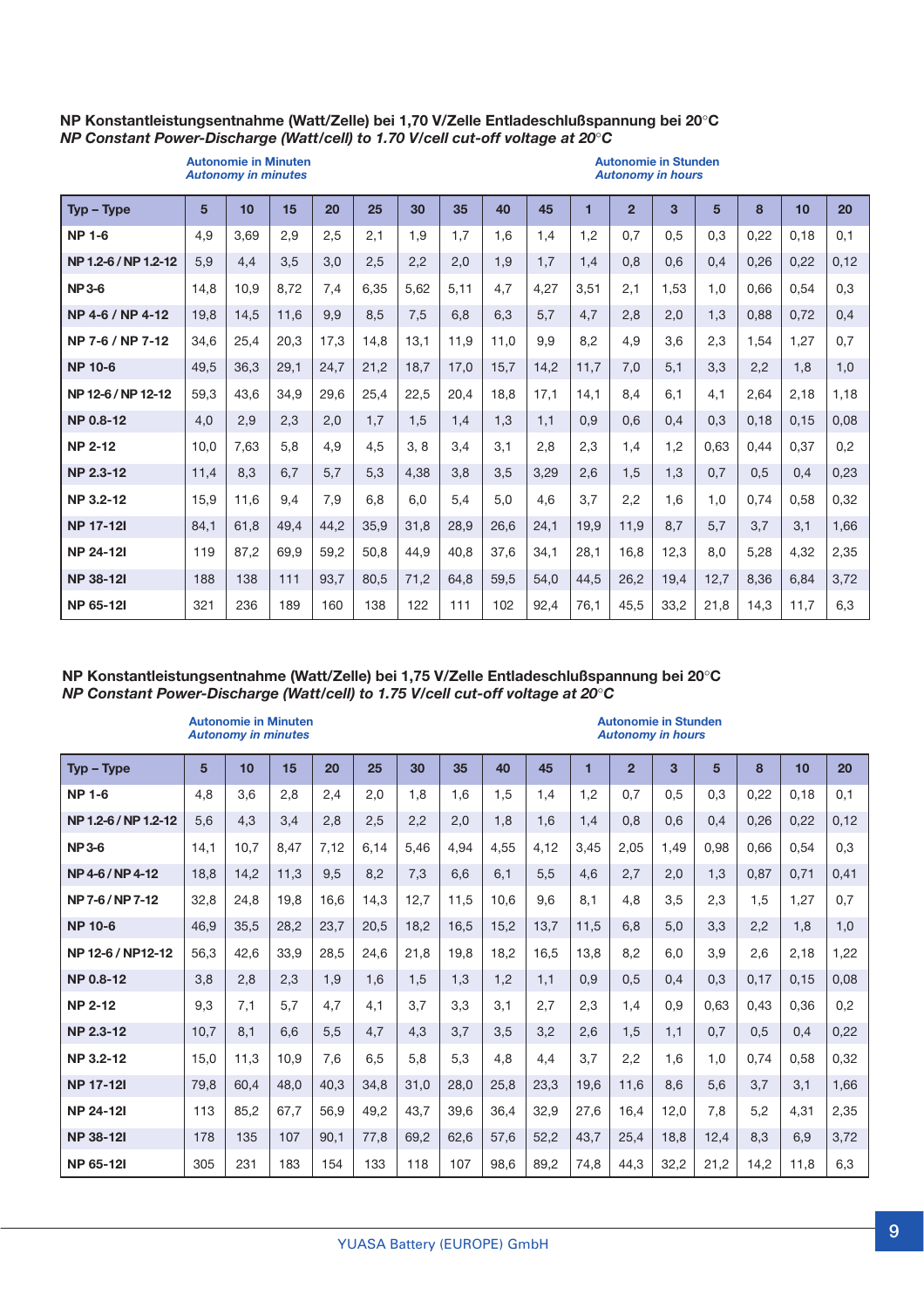#### **NP Konstantleistungsentnahme (Watt/Zelle) bei 1,70 V/Zelle Entladeschlußspannung bei 20**°**C** *NP Constant Power-Discharge (Watt/cell) to 1.70 V/cell cut-off voltage at 20*°*C*

|                      |      | <b>Autonomie in Minuten</b><br><b>Autonomy in minutes</b> |      |      |      |      |      |      |      |      | <b>Autonomie in Stunden</b><br><b>Autonomy in hours</b> |      |      |      |      |      |
|----------------------|------|-----------------------------------------------------------|------|------|------|------|------|------|------|------|---------------------------------------------------------|------|------|------|------|------|
| $Tvp - Type$         | 5    | 10                                                        | 15   | 20   | 25   | 30   | 35   | 40   | 45   |      | $\overline{2}$                                          | 3    | 5    | 8    | 10   | 20   |
| <b>NP 1-6</b>        | 4.9  | 3.69                                                      | 2.9  | 2.5  | 2.1  | 1.9  | 1.7  | 1.6  | 1.4  | 1.2  | 0.7                                                     | 0.5  | 0.3  | 0.22 | 0.18 | 0,1  |
| NP 1.2-6 / NP 1.2-12 | 5,9  | 4.4                                                       | 3.5  | 3.0  | 2,5  | 2,2  | 2,0  | 1,9  | 1.7  | 1,4  | 0.8                                                     | 0.6  | 0.4  | 0.26 | 0,22 | 0,12 |
| <b>NP3-6</b>         | 14.8 | 10.9                                                      | 8.72 | 7.4  | 6,35 | 5.62 | 5.11 | 4.7  | 4.27 | 3.51 | 2.1                                                     | 1.53 | 1.0  | 0.66 | 0.54 | 0,3  |
| NP 4-6 / NP 4-12     | 19.8 | 14.5                                                      | 11.6 | 9.9  | 8.5  | 7,5  | 6.8  | 6.3  | 5.7  | 4.7  | 2,8                                                     | 2,0  | 1.3  | 0.88 | 0.72 | 0,4  |
| NP 7-6 / NP 7-12     | 34.6 | 25.4                                                      | 20.3 | 17.3 | 14.8 | 13.1 | 11.9 | 11.0 | 9.9  | 8.2  | 4.9                                                     | 3.6  | 2.3  | 1.54 | 1.27 | 0.7  |
| <b>NP 10-6</b>       | 49,5 | 36.3                                                      | 29.1 | 24,7 | 21,2 | 18,7 | 17,0 | 15.7 | 14,2 | 11.7 | 7,0                                                     | 5.1  | 3.3  | 2,2  | 1.8  | 1,0  |
| NP 12-6 / NP 12-12   | 59,3 | 43.6                                                      | 34.9 | 29.6 | 25,4 | 22,5 | 20,4 | 18.8 | 17.1 | 14.1 | 8.4                                                     | 6.1  | 4.1  | 2,64 | 2,18 | 1,18 |
| <b>NP 0.8-12</b>     | 4.0  | 2,9                                                       | 2,3  | 2.0  | 1,7  | 1.5  | 1.4  | 1.3  | 1.1  | 0.9  | 0.6                                                     | 0.4  | 0.3  | 0.18 | 0.15 | 0.08 |
| <b>NP 2-12</b>       | 10.0 | 7,63                                                      | 5.8  | 4.9  | 4,5  | 3, 8 | 3,4  | 3.1  | 2.8  | 2,3  | 1.4                                                     | 1.2  | 0.63 | 0.44 | 0.37 | 0,2  |
| <b>NP 2.3-12</b>     | 11,4 | 8.3                                                       | 6.7  | 5,7  | 5,3  | 4.38 | 3.8  | 3.5  | 3.29 | 2.6  | 1.5                                                     | 1.3  | 0.7  | 0.5  | 0.4  | 0,23 |
| NP 3.2-12            | 15.9 | 11.6                                                      | 9.4  | 7.9  | 6.8  | 6.0  | 5.4  | 5.0  | 4.6  | 3.7  | 2.2                                                     | 1.6  | 1.0  | 0.74 | 0.58 | 0,32 |
| <b>NP 17-121</b>     | 84,1 | 61.8                                                      | 49.4 | 44,2 | 35,9 | 31.8 | 28.9 | 26,6 | 24.1 | 19.9 | 11.9                                                    | 8.7  | 5.7  | 3.7  | 3.1  | 1.66 |
| <b>NP 24-121</b>     | 119  | 87,2                                                      | 69,9 | 59,2 | 50,8 | 44,9 | 40,8 | 37,6 | 34,1 | 28,1 | 16.8                                                    | 12.3 | 8.0  | 5,28 | 4,32 | 2,35 |
| <b>NP 38-121</b>     | 188  | 138                                                       | 111  | 93,7 | 80,5 | 71,2 | 64,8 | 59,5 | 54,0 | 44,5 | 26,2                                                    | 19.4 | 12,7 | 8,36 | 6,84 | 3,72 |
| <b>NP 65-121</b>     | 321  | 236                                                       | 189  | 160  | 138  | 122  | 111  | 102  | 92,4 | 76,1 | 45,5                                                    | 33.2 | 21,8 | 14,3 | 11.7 | 6,3  |

#### **NP Konstantleistungsentnahme (Watt/Zelle) bei 1,75 V/Zelle Entladeschlußspannung bei 20**°**C** *NP Constant Power-Discharge (Watt/cell) to 1.75 V/cell cut-off voltage at 20*°*C*

|                      |                | <b>Autonomie in Minuten</b><br><b>Autonomy in minutes</b> |      |      |      |      |      |      |      |                | <b>Autonomie in Stunden</b><br><b>Autonomy in hours</b> |      |      |      |      |      |
|----------------------|----------------|-----------------------------------------------------------|------|------|------|------|------|------|------|----------------|---------------------------------------------------------|------|------|------|------|------|
| $Tvp - Type$         | $5\phantom{1}$ | 10                                                        | 15   | 20   | 25   | 30   | 35   | 40   | 45   | $\blacksquare$ | $\overline{2}$                                          | 3    | 5    | 8    | 10   | 20   |
| <b>NP 1-6</b>        | 4.8            | 3.6                                                       | 2.8  | 2.4  | 2.0  | 1.8  | 1.6  | 1.5  | 1.4  | 1.2            | 0.7                                                     | 0.5  | 0.3  | 0.22 | 0.18 | 0.1  |
| NP 1.2-6 / NP 1.2-12 | 5.6            | 4.3                                                       | 3.4  | 2,8  | 2,5  | 2,2  | 2,0  | 1.8  | 1.6  | 1,4            | 0.8                                                     | 0.6  | 0.4  | 0.26 | 0.22 | 0,12 |
| <b>NP3-6</b>         | 14.1           | 10.7                                                      | 8.47 | 7.12 | 6.14 | 5.46 | 4.94 | 4.55 | 4.12 | 3.45           | 2.05                                                    | 1.49 | 0.98 | 0.66 | 0.54 | 0.3  |
| NP4-6/NP4-12         | 18.8           | 14,2                                                      | 11.3 | 9,5  | 8,2  | 7,3  | 6.6  | 6.1  | 5,5  | 4.6            | 2.7                                                     | 2.0  | 1.3  | 0.87 | 0.71 | 0.41 |
| NP 7-6 / NP 7-12     | 32,8           | 24.8                                                      | 19.8 | 16.6 | 14.3 | 12,7 | 11.5 | 10.6 | 9.6  | 8.1            | 4.8                                                     | 3.5  | 2.3  | 1.5  | 1.27 | 0.7  |
| <b>NP 10-6</b>       | 46.9           | 35.5                                                      | 28,2 | 23,7 | 20,5 | 18.2 | 16.5 | 15.2 | 13.7 | 11.5           | 6.8                                                     | 5.0  | 3.3  | 2.2  | 1.8  | 1,0  |
| NP 12-6 / NP12-12    | 56,3           | 42,6                                                      | 33,9 | 28,5 | 24,6 | 21.8 | 19,8 | 18,2 | 16,5 | 13,8           | 8.2                                                     | 6.0  | 3.9  | 2.6  | 2,18 | 1,22 |
| <b>NP 0.8-12</b>     | 3.8            | 2.8                                                       | 2.3  | 1.9  | 1.6  | 1.5  | 1.3  | 1.2  | 1.1  | 0.9            | 0.5                                                     | 0.4  | 0.3  | 0.17 | 0.15 | 0.08 |
| <b>NP 2-12</b>       | 9.3            | 7,1                                                       | 5.7  | 4,7  | 4,1  | 3.7  | 3.3  | 3,1  | 2,7  | 2,3            | 1,4                                                     | 0.9  | 0.63 | 0.43 | 0.36 | 0,2  |
| <b>NP 2.3-12</b>     | 10,7           | 8.1                                                       | 6.6  | 5.5  | 4.7  | 4.3  | 3,7  | 3.5  | 3,2  | 2.6            | 1.5                                                     | 1.1  | 0.7  | 0.5  | 0.4  | 0,22 |
| NP 3.2-12            | 15.0           | 11.3                                                      | 10.9 | 7.6  | 6.5  | 5.8  | 5.3  | 4.8  | 4,4  | 3.7            | 2,2                                                     | 1.6  | 1.0  | 0.74 | 0.58 | 0,32 |
| <b>NP 17-121</b>     | 79.8           | 60.4                                                      | 48.0 | 40.3 | 34,8 | 31,0 | 28.0 | 25.8 | 23,3 | 19.6           | 11.6                                                    | 8.6  | 5.6  | 3.7  | 3.1  | 1.66 |
| <b>NP 24-121</b>     | 113            | 85.2                                                      | 67.7 | 56.9 | 49.2 | 43.7 | 39.6 | 36.4 | 32,9 | 27,6           | 16,4                                                    | 12,0 | 7.8  | 5.2  | 4.31 | 2,35 |
| <b>NP 38-121</b>     | 178            | 135                                                       | 107  | 90.1 | 77,8 | 69.2 | 62.6 | 57,6 | 52,2 | 43.7           | 25,4                                                    | 18.8 | 12.4 | 8.3  | 6.9  | 3.72 |
| <b>NP 65-121</b>     | 305            | 231                                                       | 183  | 154  | 133  | 118  | 107  | 98.6 | 89.2 | 74,8           | 44,3                                                    | 32,2 | 21,2 | 14,2 | 11.8 | 6.3  |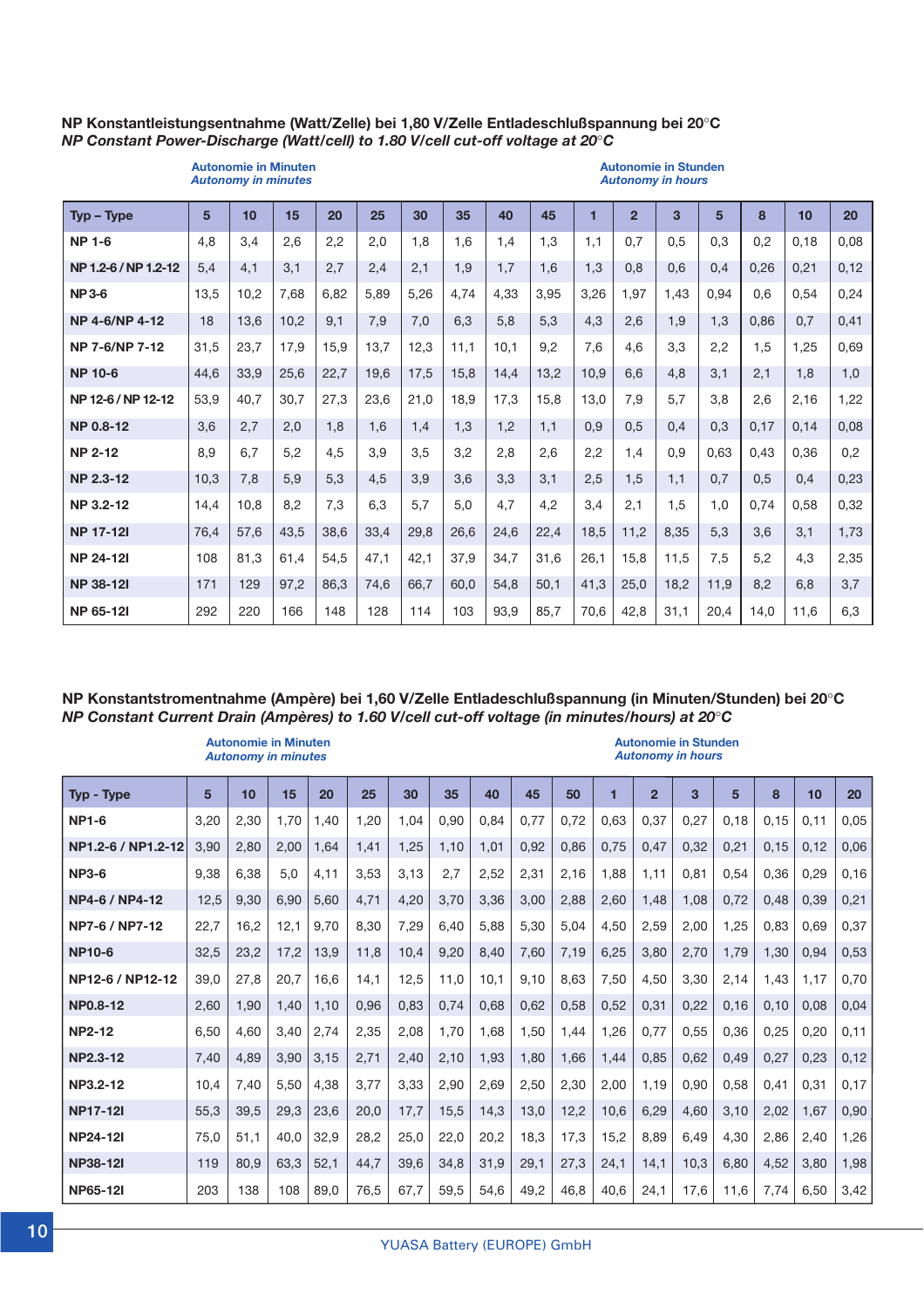#### **NP Konstantleistungsentnahme (Watt/Zelle) bei 1,80 V/Zelle Entladeschlußspannung bei 20**°**C** *NP Constant Power-Discharge (Watt/cell) to 1.80 V/cell cut-off voltage at 20*°*C*

# *Autonomy in minutes Autonomy in hours*

# **Autonomie in Minuten Autonomie in Stunden**

| $Type - Type$        | 5    | 10   | 15   | 20   | 25   | 30   | 35   | 40   | 45   | 1    | $\overline{2}$ | $\mathbf{3}$ | 5    | 8    | 10   | 20   |
|----------------------|------|------|------|------|------|------|------|------|------|------|----------------|--------------|------|------|------|------|
| <b>NP 1-6</b>        | 4,8  | 3,4  | 2,6  | 2,2  | 2,0  | 1.8  | 1.6  | 1,4  | 1,3  | 1,1  | 0,7            | 0.5          | 0,3  | 0,2  | 0,18 | 0,08 |
| NP 1.2-6 / NP 1.2-12 | 5,4  | 4,1  | 3,1  | 2,7  | 2,4  | 2,1  | 1,9  | 1.7  | 1,6  | 1,3  | 0.8            | 0,6          | 0,4  | 0,26 | 0,21 | 0,12 |
| <b>NP3-6</b>         | 13,5 | 10,2 | 7,68 | 6,82 | 5,89 | 5,26 | 4,74 | 4,33 | 3,95 | 3,26 | 1,97           | 1,43         | 0,94 | 0.6  | 0,54 | 0,24 |
| NP 4-6/NP 4-12       | 18   | 13,6 | 10,2 | 9,1  | 7,9  | 7,0  | 6,3  | 5.8  | 5,3  | 4,3  | 2,6            | 1.9          | 1,3  | 0.86 | 0.7  | 0,41 |
| NP 7-6/NP 7-12       | 31,5 | 23,7 | 17,9 | 15,9 | 13,7 | 12,3 | 11,1 | 10.1 | 9,2  | 7,6  | 4,6            | 3,3          | 2,2  | 1,5  | 1,25 | 0,69 |
| <b>NP 10-6</b>       | 44,6 | 33,9 | 25,6 | 22,7 | 19,6 | 17,5 | 15,8 | 14,4 | 13,2 | 10,9 | 6.6            | 4,8          | 3,1  | 2,1  | 1,8  | 1,0  |
| NP 12-6 / NP 12-12   | 53,9 | 40,7 | 30,7 | 27,3 | 23,6 | 21,0 | 18,9 | 17,3 | 15,8 | 13,0 | 7,9            | 5,7          | 3,8  | 2,6  | 2,16 | 1,22 |
| <b>NP 0.8-12</b>     | 3,6  | 2,7  | 2,0  | 1,8  | 1,6  | 1,4  | 1,3  | 1,2  | 1,1  | 0.9  | 0.5            | 0.4          | 0,3  | 0,17 | 0,14 | 0,08 |
| <b>NP 2-12</b>       | 8,9  | 6.7  | 5,2  | 4,5  | 3,9  | 3,5  | 3,2  | 2,8  | 2,6  | 2,2  | 1,4            | 0.9          | 0.63 | 0.43 | 0.36 | 0,2  |
| <b>NP 2.3-12</b>     | 10,3 | 7,8  | 5,9  | 5,3  | 4,5  | 3,9  | 3.6  | 3.3  | 3,1  | 2,5  | 1,5            | 1.1          | 0.7  | 0,5  | 0,4  | 0,23 |
| NP 3.2-12            | 14,4 | 10.8 | 8,2  | 7,3  | 6,3  | 5.7  | 5,0  | 4.7  | 4,2  | 3,4  | 2.1            | 1,5          | 1.0  | 0.74 | 0.58 | 0,32 |
| <b>NP 17-12I</b>     | 76,4 | 57,6 | 43,5 | 38,6 | 33,4 | 29,8 | 26,6 | 24,6 | 22,4 | 18,5 | 11.2           | 8,35         | 5,3  | 3,6  | 3,1  | 1,73 |
| <b>NP 24-121</b>     | 108  | 81,3 | 61,4 | 54,5 | 47,1 | 42,1 | 37,9 | 34.7 | 31.6 | 26,1 | 15.8           | 11.5         | 7,5  | 5,2  | 4,3  | 2,35 |
| <b>NP 38-121</b>     | 171  | 129  | 97,2 | 86,3 | 74,6 | 66,7 | 60,0 | 54,8 | 50.1 | 41,3 | 25,0           | 18.2         | 11,9 | 8,2  | 6.8  | 3,7  |
| <b>NP 65-121</b>     | 292  | 220  | 166  | 148  | 128  | 114  | 103  | 93,9 | 85.7 | 70,6 | 42,8           | 31,1         | 20.4 | 14.0 | 11.6 | 6,3  |

#### **NP Konstantstromentnahme (Ampère) bei 1,60 V/Zelle Entladeschlußspannung (in Minuten/Stunden) bei 20**°**C** *NP Constant Current Drain (Ampères) to 1.60 V/cell cut-off voltage (in minutes/hours) at 20*°*C*

|                    |      | <b>Autonomie in Minuten</b><br><b>Autonomy in minutes</b> |      |      |      |      |      |      |      |      |      |                | <b>Autonomie in Stunden</b><br><b>Autonomy in hours</b> |      |      |      |       |
|--------------------|------|-----------------------------------------------------------|------|------|------|------|------|------|------|------|------|----------------|---------------------------------------------------------|------|------|------|-------|
| Typ - Type         | 5    | 10                                                        | 15   | 20   | 25   | 30   | 35   | 40   | 45   | 50   |      | $\overline{2}$ | 3                                                       | 5    | 8    | 10   | 20    |
| <b>NP1-6</b>       | 3,20 | 2,30                                                      | 1.70 | 1,40 | 1,20 | 1,04 | 0.90 | 0.84 | 0.77 | 0.72 | 0.63 | 0.37           | 0,27                                                    | 0.18 | 0.15 | 0.11 | 0.05  |
| NP1.2-6 / NP1.2-12 | 3,90 | 2,80                                                      | 2,00 | 1,64 | 1,41 | 1,25 | 1,10 | 1.01 | 0,92 | 0,86 | 0,75 | 0,47           | 0,32                                                    | 0,21 | 0.15 | 0.12 | 0,06  |
| <b>NP3-6</b>       | 9,38 | 6.38                                                      | 5.0  | 4.11 | 3,53 | 3,13 | 2.7  | 2.52 | 2.31 | 2.16 | 1.88 | 1.11           | 0.81                                                    | 0,54 | 0.36 | 0.29 | 0, 16 |
| NP4-6 / NP4-12     | 12,5 | 9,30                                                      | 6,90 | 5,60 | 4,71 | 4,20 | 3,70 | 3,36 | 3,00 | 2,88 | 2.60 | 1,48           | 1,08                                                    | 0,72 | 0,48 | 0.39 | 0,21  |
| NP7-6 / NP7-12     | 22,7 | 16.2                                                      | 12.1 | 9,70 | 8,30 | 7,29 | 6,40 | 5,88 | 5,30 | 5,04 | 4,50 | 2,59           | 2,00                                                    | 1,25 | 0,83 | 0,69 | 0,37  |
| <b>NP10-6</b>      | 32,5 | 23,2                                                      | 17,2 | 13,9 | 11.8 | 10,4 | 9,20 | 8,40 | 7,60 | 7,19 | 6,25 | 3,80           | 2,70                                                    | 1,79 | 1,30 | 0,94 | 0,53  |
| NP12-6 / NP12-12   | 39.0 | 27,8                                                      | 20,7 | 16,6 | 14,1 | 12,5 | 11.0 | 10.1 | 9.10 | 8,63 | 7.50 | 4.50           | 3,30                                                    | 2,14 | 1,43 | 1,17 | 0.70  |
| <b>NP0.8-12</b>    | 2,60 | 1,90                                                      | 1,40 | 1,10 | 0,96 | 0,83 | 0,74 | 0.68 | 0,62 | 0,58 | 0,52 | 0,31           | 0,22                                                    | 0,16 | 0,10 | 0.08 | 0,04  |
| <b>NP2-12</b>      | 6,50 | 4.60                                                      | 3.40 | 2,74 | 2,35 | 2,08 | 1.70 | 1.68 | 1,50 | 1.44 | 1.26 | 0.77           | 0,55                                                    | 0,36 | 0,25 | 0.20 | 0,11  |
| <b>NP2.3-12</b>    | 7,40 | 4,89                                                      | 3,90 | 3,15 | 2,71 | 2,40 | 2,10 | 1,93 | 1,80 | 1,66 | 1,44 | 0,85           | 0,62                                                    | 0,49 | 0,27 | 0,23 | 0,12  |
| NP3.2-12           | 10,4 | 7,40                                                      | 5.50 | 4,38 | 3,77 | 3,33 | 2,90 | 2,69 | 2,50 | 2,30 | 2,00 | 1,19           | 0,90                                                    | 0,58 | 0,41 | 0.31 | 0,17  |
| <b>NP17-12I</b>    | 55,3 | 39.5                                                      | 29,3 | 23.6 | 20,0 | 17,7 | 15,5 | 14,3 | 13,0 | 12,2 | 10.6 | 6,29           | 4,60                                                    | 3,10 | 2,02 | 1,67 | 0,90  |
| <b>NP24-12I</b>    | 75,0 | 51,1                                                      | 40.0 | 32,9 | 28,2 | 25,0 | 22,0 | 20,2 | 18,3 | 17,3 | 15,2 | 8,89           | 6,49                                                    | 4,30 | 2,86 | 2,40 | 1,26  |
| <b>NP38-12I</b>    | 119  | 80.9                                                      | 63.3 | 52,1 | 44,7 | 39,6 | 34,8 | 31,9 | 29,1 | 27,3 | 24,1 | 14,1           | 10,3                                                    | 6,80 | 4,52 | 3,80 | 1,98  |
| <b>NP65-12I</b>    | 203  | 138                                                       | 108  | 89,0 | 76,5 | 67,7 | 59,5 | 54,6 | 49,2 | 46,8 | 40,6 | 24,1           | 17,6                                                    | 11,6 | 7,74 | 6,50 | 3,42  |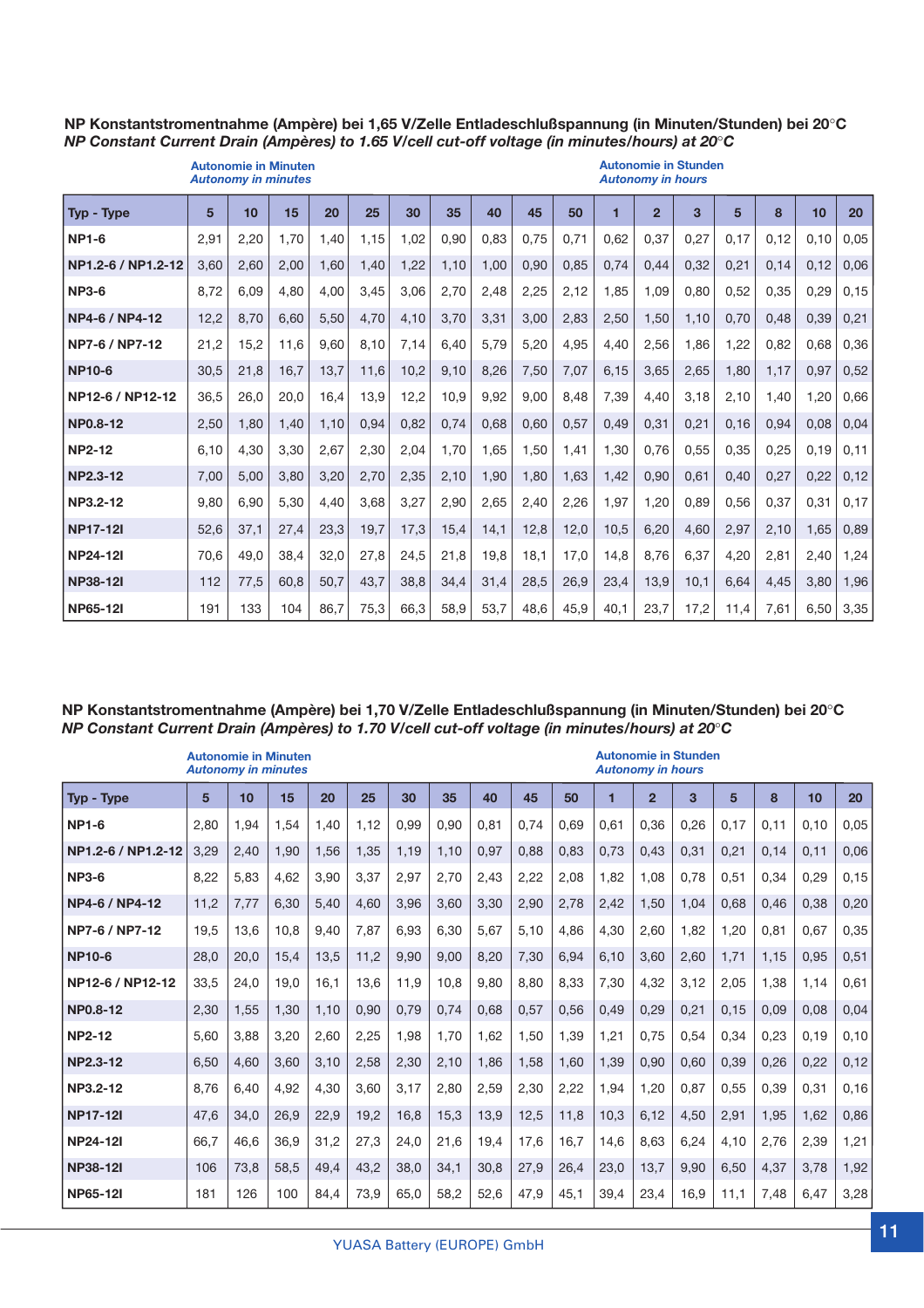#### **NP Konstantstromentnahme (Ampère) bei 1,65 V/Zelle Entladeschlußspannung (in Minuten/Stunden) bei 20**°**C** *NP Constant Current Drain (Ampères) to 1.65 V/cell cut-off voltage (in minutes/hours) at 20*°*C*

| <b>Autonomie in Minuten</b><br><b>Autonomy in minutes</b> |      |      |      |      |      |      |      |      | <b>Autonomie in Stunden</b><br><b>Autonomy in hours</b> |      |      |                |      |       |      |      |      |
|-----------------------------------------------------------|------|------|------|------|------|------|------|------|---------------------------------------------------------|------|------|----------------|------|-------|------|------|------|
| Typ - Type                                                | 5    | 10   | 15   | 20   | 25   | 30   | 35   | 40   | 45                                                      | 50   | 1    | $\overline{2}$ | 3    | 5     | 8    | 10   | 20   |
| <b>NP1-6</b>                                              | 2.91 | 2,20 | 1.70 | 1.40 | 1.15 | 1,02 | 0.90 | 0.83 | 0.75                                                    | 0.71 | 0.62 | 0.37           | 0,27 | 0.17  | 0.12 | 0.10 | 0,05 |
| NP1.2-6 / NP1.2-12                                        | 3,60 | 2.60 | 2,00 | 1.60 | 1,40 | 1,22 | 1,10 | 1.00 | 0,90                                                    | 0,85 | 0.74 | 0.44           | 0,32 | 0,21  | 0.14 | 0.12 | 0,06 |
| <b>NP3-6</b>                                              | 8,72 | 6.09 | 4.80 | 4.00 | 3,45 | 3,06 | 2.70 | 2,48 | 2,25                                                    | 2.12 | 1.85 | 1.09           | 0.80 | 0.52  | 0.35 | 0.29 | 0,15 |
| NP4-6 / NP4-12                                            | 12,2 | 8,70 | 6.60 | 5,50 | 4,70 | 4,10 | 3,70 | 3,31 | 3,00                                                    | 2,83 | 2,50 | 1.50           | 1,10 | 0,70  | 0,48 | 0,39 | 0,21 |
| NP7-6 / NP7-12                                            | 21,2 | 15.2 | 11.6 | 9.60 | 8,10 | 7,14 | 6,40 | 5.79 | 5,20                                                    | 4,95 | 4,40 | 2,56           | 1,86 | 1,22  | 0.82 | 0.68 | 0,36 |
| <b>NP10-6</b>                                             | 30,5 | 21,8 | 16,7 | 13,7 | 11,6 | 10,2 | 9,10 | 8,26 | 7,50                                                    | 7,07 | 6,15 | 3,65           | 2,65 | 1,80  | 1,17 | 0,97 | 0,52 |
| NP12-6 / NP12-12                                          | 36,5 | 26,0 | 20,0 | 16,4 | 13.9 | 12,2 | 10,9 | 9,92 | 9,00                                                    | 8,48 | 7,39 | 4,40           | 3,18 | 2,10  | 1,40 | 1,20 | 0,66 |
| <b>NP0.8-12</b>                                           | 2,50 | 1,80 | 1,40 | 1,10 | 0,94 | 0,82 | 0,74 | 0,68 | 0,60                                                    | 0,57 | 0,49 | 0,31           | 0,21 | 0, 16 | 0,94 | 0,08 | 0,04 |
| <b>NP2-12</b>                                             | 6.10 | 4.30 | 3.30 | 2,67 | 2,30 | 2,04 | 1,70 | 1.65 | 1.50                                                    | 1.41 | 1,30 | 0.76           | 0.55 | 0,35  | 0,25 | 0.19 | 0.11 |
| <b>NP2.3-12</b>                                           | 7.00 | 5.00 | 3,80 | 3,20 | 2,70 | 2,35 | 2,10 | 1.90 | 1.80                                                    | 1,63 | 1,42 | 0,90           | 0,61 | 0,40  | 0,27 | 0,22 | 0,12 |
| NP3.2-12                                                  | 9.80 | 6.90 | 5.30 | 4.40 | 3,68 | 3,27 | 2,90 | 2.65 | 2,40                                                    | 2,26 | 1.97 | 1.20           | 0.89 | 0.56  | 0.37 | 0.31 | 0.17 |
| <b>NP17-12I</b>                                           | 52,6 | 37,1 | 27,4 | 23,3 | 19,7 | 17,3 | 15,4 | 14,1 | 12,8                                                    | 12,0 | 10,5 | 6,20           | 4,60 | 2,97  | 2,10 | 1,65 | 0,89 |
| <b>NP24-12I</b>                                           | 70,6 | 49,0 | 38,4 | 32,0 | 27,8 | 24,5 | 21,8 | 19,8 | 18,1                                                    | 17,0 | 14,8 | 8,76           | 6,37 | 4,20  | 2,81 | 2,40 | 1,24 |
| <b>NP38-12I</b>                                           | 112  | 77,5 | 60.8 | 50,7 | 43,7 | 38,8 | 34,4 | 31,4 | 28,5                                                    | 26,9 | 23,4 | 13,9           | 10,1 | 6.64  | 4,45 | 3,80 | 1,96 |
| <b>NP65-12I</b>                                           | 191  | 133  | 104  | 86.7 | 75,3 | 66.3 | 58,9 | 53,7 | 48.6                                                    | 45,9 | 40,1 | 23.7           | 17,2 | 11,4  | 7,61 | 6.50 | 3,35 |

#### **NP Konstantstromentnahme (Ampère) bei 1,70 V/Zelle Entladeschlußspannung (in Minuten/Stunden) bei 20**°**C** *NP Constant Current Drain (Ampères) to 1.70 V/cell cut-off voltage (in minutes/hours) at 20*°*C*

| <b>Autonomie in Minuten</b><br><b>Autonomy in minutes</b> |      |      |      |      |      |      |      |      | <b>Autonomie in Stunden</b><br><b>Autonomy in hours</b> |      |      |                |      |      |      |      |      |
|-----------------------------------------------------------|------|------|------|------|------|------|------|------|---------------------------------------------------------|------|------|----------------|------|------|------|------|------|
| Typ - Type                                                | 5    | 10   | 15   | 20   | 25   | 30   | 35   | 40   | 45                                                      | 50   | 1    | $\overline{2}$ | 3    | 5    | 8    | 10   | 20   |
| <b>NP1-6</b>                                              | 2.80 | 1.94 | 1.54 | 1,40 | 1,12 | 0.99 | 0.90 | 0.81 | 0.74                                                    | 0.69 | 0.61 | 0.36           | 0,26 | 0.17 | 0.11 | 0.10 | 0.05 |
| NP1.2-6 / NP1.2-12                                        | 3,29 | 2,40 | 1.90 | 1,56 | 1,35 | 1,19 | 1,10 | 0.97 | 0,88                                                    | 0.83 | 0.73 | 0,43           | 0,31 | 0.21 | 0.14 | 0.11 | 0,06 |
| <b>NP3-6</b>                                              | 8,22 | 5,83 | 4.62 | 3,90 | 3,37 | 2,97 | 2,70 | 2,43 | 2,22                                                    | 2,08 | 1.82 | 1,08           | 0,78 | 0.51 | 0.34 | 0,29 | 0,15 |
| NP4-6 / NP4-12                                            | 11,2 | 7,77 | 6,30 | 5,40 | 4,60 | 3,96 | 3.60 | 3,30 | 2,90                                                    | 2,78 | 2,42 | 1,50           | 1,04 | 0,68 | 0,46 | 0,38 | 0,20 |
| NP7-6 / NP7-12                                            | 19,5 | 13,6 | 10.8 | 9,40 | 7,87 | 6,93 | 6,30 | 5,67 | 5,10                                                    | 4.86 | 4.30 | 2.60           | 1,82 | 1,20 | 0.81 | 0.67 | 0,35 |
| <b>NP10-6</b>                                             | 28,0 | 20,0 | 15.4 | 13,5 | 11,2 | 9,90 | 9,00 | 8,20 | 7,30                                                    | 6,94 | 6,10 | 3.60           | 2,60 | 1,71 | 1,15 | 0.95 | 0,51 |
| NP12-6 / NP12-12                                          | 33,5 | 24,0 | 19.0 | 16,1 | 13,6 | 11,9 | 10.8 | 9,80 | 8,80                                                    | 8,33 | 7,30 | 4,32           | 3,12 | 2,05 | 1,38 | 1,14 | 0,61 |
| <b>NP0.8-12</b>                                           | 2,30 | 1,55 | 1,30 | 1,10 | 0,90 | 0,79 | 0,74 | 0,68 | 0,57                                                    | 0,56 | 0,49 | 0,29           | 0,21 | 0,15 | 0,09 | 0,08 | 0,04 |
| <b>NP2-12</b>                                             | 5.60 | 3,88 | 3,20 | 2,60 | 2,25 | 1,98 | 1.70 | 1.62 | 1,50                                                    | 1,39 | 1,21 | 0,75           | 0,54 | 0,34 | 0,23 | 0.19 | 0,10 |
| NP2.3-12                                                  | 6,50 | 4,60 | 3,60 | 3,10 | 2,58 | 2,30 | 2,10 | 1.86 | 1,58                                                    | 1,60 | 1,39 | 0,90           | 0,60 | 0,39 | 0,26 | 0,22 | 0,12 |
| NP3.2-12                                                  | 8.76 | 6.40 | 4.92 | 4,30 | 3,60 | 3,17 | 2,80 | 2,59 | 2,30                                                    | 2,22 | 1,94 | 1,20           | 0.87 | 0.55 | 0,39 | 0.31 | 0,16 |
| <b>NP17-12I</b>                                           | 47,6 | 34,0 | 26.9 | 22,9 | 19,2 | 16,8 | 15,3 | 13,9 | 12,5                                                    | 11,8 | 10.3 | 6,12           | 4,50 | 2,91 | 1,95 | 1,62 | 0,86 |
| <b>NP24-12I</b>                                           | 66,7 | 46,6 | 36.9 | 31,2 | 27,3 | 24,0 | 21,6 | 19,4 | 17,6                                                    | 16,7 | 14,6 | 8.63           | 6,24 | 4,10 | 2,76 | 2,39 | 1,21 |
| <b>NP38-12I</b>                                           | 106  | 73,8 | 58,5 | 49,4 | 43,2 | 38,0 | 34,1 | 30,8 | 27,9                                                    | 26,4 | 23,0 | 13,7           | 9,90 | 6,50 | 4,37 | 3,78 | 1,92 |
| <b>NP65-12I</b>                                           | 181  | 126  | 100  | 84,4 | 73,9 | 65,0 | 58,2 | 52,6 | 47,9                                                    | 45,1 | 39,4 | 23,4           | 16,9 | 11,1 | 7,48 | 6,47 | 3,28 |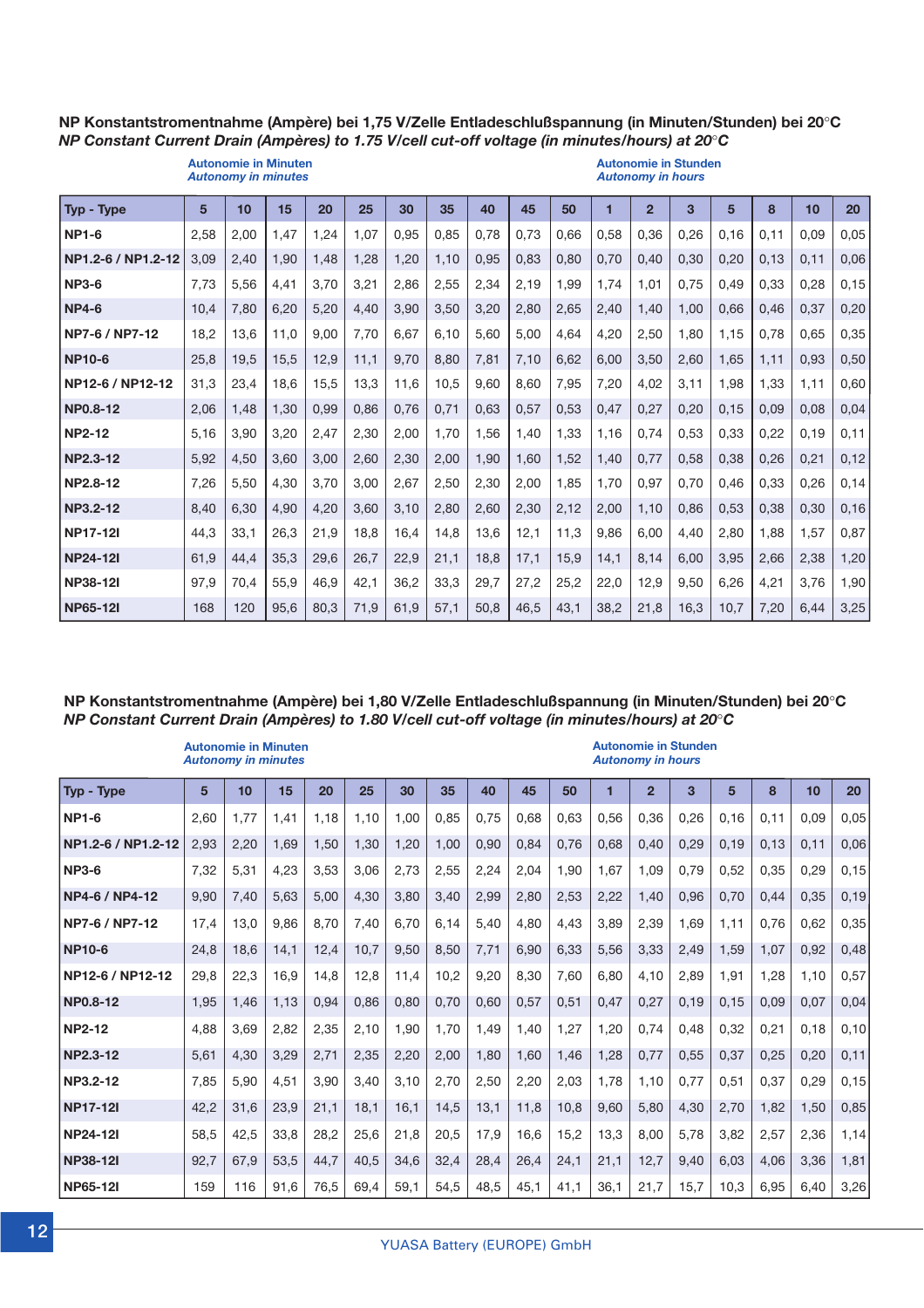#### **NP Konstantstromentnahme (Ampère) bei 1,75 V/Zelle Entladeschlußspannung (in Minuten/Stunden) bei 20**°**C** *NP Constant Current Drain (Ampères) to 1.75 V/cell cut-off voltage (in minutes/hours) at 20*°*C*

|                    | <b>Autonomie in Minuten</b><br><b>Autonomy in minutes</b> |      |      |      |      |      |      |      | <b>Autonomie in Stunden</b><br><b>Autonomy in hours</b> |      |      |                |      |       |      |      |      |
|--------------------|-----------------------------------------------------------|------|------|------|------|------|------|------|---------------------------------------------------------|------|------|----------------|------|-------|------|------|------|
| Typ - Type         | 5                                                         | 10   | 15   | 20   | 25   | 30   | 35   | 40   | 45                                                      | 50   | 1    | $\overline{2}$ | 3    | 5     | 8    | 10   | 20   |
| <b>NP1-6</b>       | 2.58                                                      | 2.00 | 1.47 | 1.24 | 1.07 | 0.95 | 0.85 | 0.78 | 0.73                                                    | 0.66 | 0.58 | 0.36           | 0,26 | 0.16  | 0.11 | 0.09 | 0,05 |
| NP1.2-6 / NP1.2-12 | 3,09                                                      | 2,40 | 1,90 | 1,48 | 1,28 | 1,20 | 1,10 | 0,95 | 0,83                                                    | 0,80 | 0,70 | 0,40           | 0,30 | 0,20  | 0,13 | 0,11 | 0,06 |
| <b>NP3-6</b>       | 7,73                                                      | 5,56 | 4,41 | 3,70 | 3,21 | 2,86 | 2,55 | 2,34 | 2,19                                                    | 1,99 | 1.74 | 1,01           | 0,75 | 0,49  | 0,33 | 0.28 | 0,15 |
| <b>NP4-6</b>       | 10.4                                                      | 7,80 | 6,20 | 5,20 | 4,40 | 3,90 | 3,50 | 3,20 | 2,80                                                    | 2,65 | 2,40 | 1,40           | 1,00 | 0.66  | 0.46 | 0.37 | 0,20 |
| NP7-6 / NP7-12     | 18.2                                                      | 13.6 | 11.0 | 9,00 | 7,70 | 6,67 | 6.10 | 5.60 | 5.00                                                    | 4.64 | 4,20 | 2,50           | 1,80 | 1,15  | 0.78 | 0.65 | 0,35 |
| <b>NP10-6</b>      | 25,8                                                      | 19,5 | 15,5 | 12,9 | 11,1 | 9,70 | 8.80 | 7,81 | 7,10                                                    | 6,62 | 6,00 | 3,50           | 2,60 | 1,65  | 1,11 | 0,93 | 0,50 |
| NP12-6 / NP12-12   | 31,3                                                      | 23,4 | 18.6 | 15,5 | 13,3 | 11,6 | 10,5 | 9.60 | 8.60                                                    | 7,95 | 7,20 | 4,02           | 3,11 | 1,98  | 1,33 | 1,11 | 0,60 |
| NP0.8-12           | 2,06                                                      | 1,48 | 1,30 | 0,99 | 0,86 | 0,76 | 0,71 | 0.63 | 0,57                                                    | 0,53 | 0,47 | 0,27           | 0,20 | 0, 15 | 0,09 | 0.08 | 0,04 |
| <b>NP2-12</b>      | 5,16                                                      | 3,90 | 3,20 | 2,47 | 2,30 | 2,00 | 1.70 | 1,56 | 1,40                                                    | 1.33 | 1,16 | 0.74           | 0,53 | 0,33  | 0,22 | 0,19 | 0,11 |
| <b>NP2.3-12</b>    | 5,92                                                      | 4,50 | 3.60 | 3,00 | 2,60 | 2,30 | 2,00 | 1,90 | 1.60                                                    | 1,52 | 1,40 | 0,77           | 0,58 | 0,38  | 0,26 | 0,21 | 0,12 |
| NP2.8-12           | 7,26                                                      | 5,50 | 4,30 | 3,70 | 3,00 | 2,67 | 2,50 | 2,30 | 2,00                                                    | 1,85 | 1,70 | 0,97           | 0,70 | 0,46  | 0,33 | 0,26 | 0,14 |
| NP3.2-12           | 8,40                                                      | 6,30 | 4,90 | 4,20 | 3,60 | 3,10 | 2,80 | 2,60 | 2,30                                                    | 2,12 | 2,00 | 1,10           | 0,86 | 0,53  | 0,38 | 0,30 | 0,16 |
| <b>NP17-12I</b>    | 44,3                                                      | 33,1 | 26,3 | 21,9 | 18,8 | 16,4 | 14,8 | 13,6 | 12,1                                                    | 11,3 | 9,86 | 6,00           | 4,40 | 2,80  | 1,88 | 1,57 | 0,87 |
| <b>NP24-12I</b>    | 61,9                                                      | 44,4 | 35,3 | 29,6 | 26,7 | 22,9 | 21,1 | 18,8 | 17,1                                                    | 15,9 | 14,1 | 8,14           | 6,00 | 3,95  | 2,66 | 2,38 | 1,20 |
| <b>NP38-12I</b>    | 97.9                                                      | 70.4 | 55.9 | 46,9 | 42,1 | 36,2 | 33,3 | 29,7 | 27,2                                                    | 25,2 | 22,0 | 12,9           | 9,50 | 6,26  | 4,21 | 3.76 | 1,90 |
| <b>NP65-12I</b>    | 168                                                       | 120  | 95.6 | 80.3 | 71,9 | 61,9 | 57,1 | 50.8 | 46.5                                                    | 43.1 | 38.2 | 21,8           | 16,3 | 10.7  | 7,20 | 6.44 | 3,25 |

#### **NP Konstantstromentnahme (Ampère) bei 1,80 V/Zelle Entladeschlußspannung (in Minuten/Stunden) bei 20**°**C** *NP Constant Current Drain (Ampères) to 1.80 V/cell cut-off voltage (in minutes/hours) at 20*°*C*

| <b>Autonomie in Minuten</b><br><b>Autonomy in minutes</b> |      |      |      |      |      |      |      |      |      | <b>Autonomie in Stunden</b><br><b>Autonomy in hours</b> |      |                |      |      |       |      |      |
|-----------------------------------------------------------|------|------|------|------|------|------|------|------|------|---------------------------------------------------------|------|----------------|------|------|-------|------|------|
| Typ - Type                                                | 5    | 10   | 15   | 20   | 25   | 30   | 35   | 40   | 45   | 50                                                      | 1    | $\overline{2}$ | 3    | 5    | 8     | 10   | 20   |
| <b>NP1-6</b>                                              | 2.60 | 1.77 | 1.41 | 1.18 | 1,10 | 1,00 | 0.85 | 0.75 | 0.68 | 0.63                                                    | 0.56 | 0.36           | 0,26 | 0.16 | 0.11  | 0.09 | 0,05 |
| NP1.2-6 / NP1.2-12                                        | 2,93 | 2,20 | 1,69 | 1,50 | 1,30 | 1,20 | 1,00 | 0,90 | 0,84 | 0,76                                                    | 0,68 | 0,40           | 0,29 | 0,19 | 0, 13 | 0,11 | 0,06 |
| <b>NP3-6</b>                                              | 7,32 | 5,31 | 4,23 | 3,53 | 3,06 | 2,73 | 2,55 | 2,24 | 2,04 | 1,90                                                    | 1,67 | 1,09           | 0,79 | 0,52 | 0,35  | 0,29 | 0,15 |
| NP4-6 / NP4-12                                            | 9,90 | 7,40 | 5,63 | 5,00 | 4,30 | 3,80 | 3,40 | 2,99 | 2,80 | 2,53                                                    | 2,22 | 1,40           | 0,96 | 0,70 | 0,44  | 0,35 | 0,19 |
| NP7-6 / NP7-12                                            | 17,4 | 13,0 | 9.86 | 8.70 | 7,40 | 6.70 | 6,14 | 5,40 | 4,80 | 4,43                                                    | 3,89 | 2,39           | 1,69 | 1,11 | 0.76  | 0,62 | 0,35 |
| <b>NP10-6</b>                                             | 24,8 | 18,6 | 14,1 | 12,4 | 10,7 | 9,50 | 8,50 | 7,71 | 6,90 | 6,33                                                    | 5,56 | 3,33           | 2,49 | 1,59 | 1,07  | 0,92 | 0,48 |
| NP12-6 / NP12-12                                          | 29.8 | 22,3 | 16,9 | 14,8 | 12,8 | 11,4 | 10,2 | 9,20 | 8,30 | 7,60                                                    | 6.80 | 4,10           | 2,89 | 1,91 | 1,28  | 1,10 | 0,57 |
| <b>NP0.8-12</b>                                           | 1,95 | 1,46 | 1,13 | 0,94 | 0,86 | 0,80 | 0,70 | 0,60 | 0,57 | 0,51                                                    | 0,47 | 0,27           | 0,19 | 0,15 | 0,09  | 0,07 | 0,04 |
| <b>NP2-12</b>                                             | 4,88 | 3.69 | 2,82 | 2,35 | 2,10 | 1,90 | 1,70 | 1,49 | 1,40 | 1,27                                                    | 1,20 | 0,74           | 0,48 | 0,32 | 0,21  | 0,18 | 0,10 |
| NP2.3-12                                                  | 5,61 | 4,30 | 3,29 | 2,71 | 2,35 | 2,20 | 2,00 | 1,80 | 1,60 | 1,46                                                    | 1,28 | 0,77           | 0,55 | 0,37 | 0,25  | 0,20 | 0,11 |
| NP3.2-12                                                  | 7,85 | 5.90 | 4.51 | 3.90 | 3,40 | 3.10 | 2,70 | 2,50 | 2,20 | 2,03                                                    | 1.78 | 1,10           | 0,77 | 0,51 | 0,37  | 0,29 | 0,15 |
| <b>NP17-12I</b>                                           | 42,2 | 31,6 | 23,9 | 21,1 | 18,1 | 16,1 | 14,5 | 13,1 | 11,8 | 10,8                                                    | 9,60 | 5,80           | 4,30 | 2,70 | 1,82  | 1,50 | 0,85 |
| <b>NP24-12I</b>                                           | 58,5 | 42,5 | 33.8 | 28,2 | 25,6 | 21,8 | 20,5 | 17,9 | 16.6 | 15,2                                                    | 13.3 | 8,00           | 5,78 | 3,82 | 2,57  | 2,36 | 1,14 |
| <b>NP38-12I</b>                                           | 92,7 | 67,9 | 53,5 | 44,7 | 40,5 | 34,6 | 32,4 | 28,4 | 26,4 | 24,1                                                    | 21,1 | 12,7           | 9,40 | 6,03 | 4,06  | 3,36 | 1,81 |
| <b>NP65-12I</b>                                           | 159  | 116  | 91,6 | 76,5 | 69,4 | 59,1 | 54,5 | 48,5 | 45,1 | 41,1                                                    | 36,1 | 21,7           | 15,7 | 10,3 | 6,95  | 6,40 | 3,26 |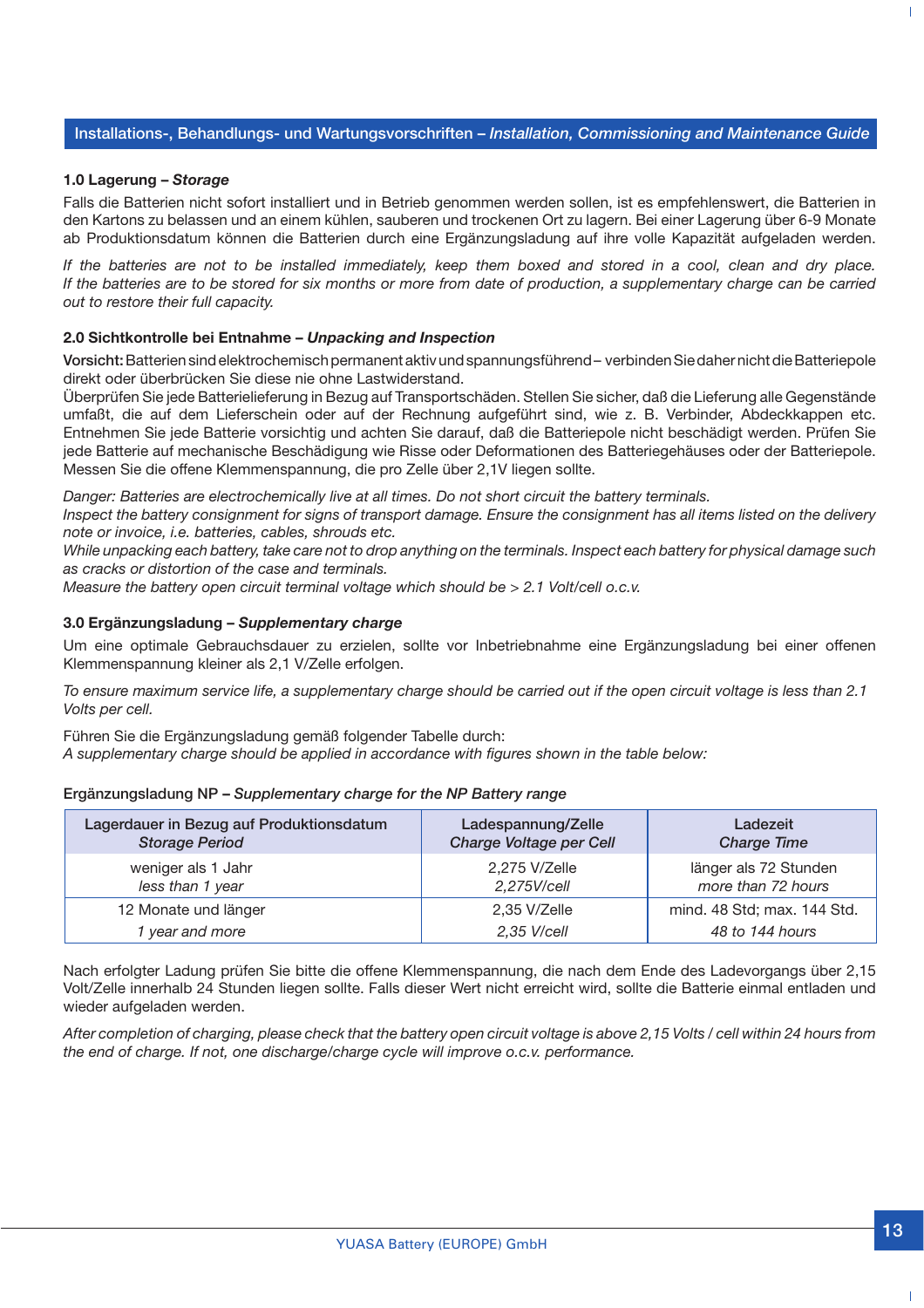#### **Installations-, Behandlungs- und Wartungsvorschriften –** *Installation, Commissioning and Maintenance Guide*

#### **1.0 Lagerung –** *Storage*

Falls die Batterien nicht sofort installiert und in Betrieb genommen werden sollen, ist es empfehlenswert, die Batterien in den Kartons zu belassen und an einem kühlen, sauberen und trockenen Ort zu lagern. Bei einer Lagerung über 6-9 Monate ab Produktionsdatum können die Batterien durch eine Ergänzungsladung auf ihre volle Kapazität aufgeladen werden.

*If the batteries are not to be installed immediately, keep them boxed and stored in a cool, clean and dry place. If the batteries are to be stored for six months or more from date of production, a supplementary charge can be carried out to restore their full capacity.*

#### **2.0 Sichtkontrolle bei Entnahme –** *Unpacking and Inspection*

**Vorsicht:** Batterien sind elektrochemisch permanent aktiv und spannungsführend – verbinden Sie daher nicht die Batteriepole direkt oder überbrücken Sie diese nie ohne Lastwiderstand.

Überprüfen Sie jede Batterielieferung in Bezug auf Transportschäden. Stellen Sie sicher, daß die Lieferung alle Gegenstände umfaßt, die auf dem Lieferschein oder auf der Rechnung aufgeführt sind, wie z. B. Verbinder, Abdeckkappen etc. Entnehmen Sie jede Batterie vorsichtig und achten Sie darauf, daß die Batteriepole nicht beschädigt werden. Prüfen Sie jede Batterie auf mechanische Beschädigung wie Risse oder Deformationen des Batteriegehäuses oder der Batteriepole. Messen Sie die offene Klemmenspannung, die pro Zelle über 2,1V liegen sollte.

*Danger: Batteries are electrochemically live at all times. Do not short circuit the battery terminals.*

*Inspect the battery consignment for signs of transport damage. Ensure the consignment has all items listed on the delivery note or invoice, i.e. batteries, cables, shrouds etc.*

*While unpacking each battery, take care not to drop anything on the terminals. Inspect each battery for physical damage such as cracks or distortion of the case and terminals.*

*Measure the battery open circuit terminal voltage which should be > 2.1 Volt/cell o.c.v.*

#### **3.0 Ergänzungsladung –** *Supplementary charge*

Um eine optimale Gebrauchsdauer zu erzielen, sollte vor Inbetriebnahme eine Ergänzungsladung bei einer offenen Klemmenspannung kleiner als 2,1 V/Zelle erfolgen.

*To ensure maximum service life, a supplementary charge should be carried out if the open circuit voltage is less than 2.1 Volts per cell.*

Führen Sie die Ergänzungsladung gemäß folgender Tabelle durch:

*A supplementary charge should be applied in accordance with figures shown in the table below:*

#### **Ergänzungsladung NP –** *Supplementary charge for the NP Battery range*

| Lagerdauer in Bezug auf Produktionsdatum | Ladespannung/Zelle      | Ladezeit                    |
|------------------------------------------|-------------------------|-----------------------------|
| <b>Storage Period</b>                    | Charge Voltage per Cell | <b>Charge Time</b>          |
| weniger als 1 Jahr                       | 2.275 V/Zelle           | länger als 72 Stunden       |
| less than 1 year                         | 2,275V/cell             | more than 72 hours          |
| 12 Monate und länger                     | 2,35 V/Zelle            | mind. 48 Std; max. 144 Std. |
| vear and more                            | 2,35 V/cell             | 48 to 144 hours             |

Nach erfolgter Ladung prüfen Sie bitte die offene Klemmenspannung, die nach dem Ende des Ladevorgangs über 2,15 Volt/Zelle innerhalb 24 Stunden liegen sollte. Falls dieser Wert nicht erreicht wird, sollte die Batterie einmal entladen und wieder aufgeladen werden.

*After completion of charging, please check that the battery open circuit voltage is above 2,15 Volts / cell within 24 hours from the end of charge. If not, one discharge/charge cycle will improve o.c.v. performance.*

T.

 $\mathbf{I}$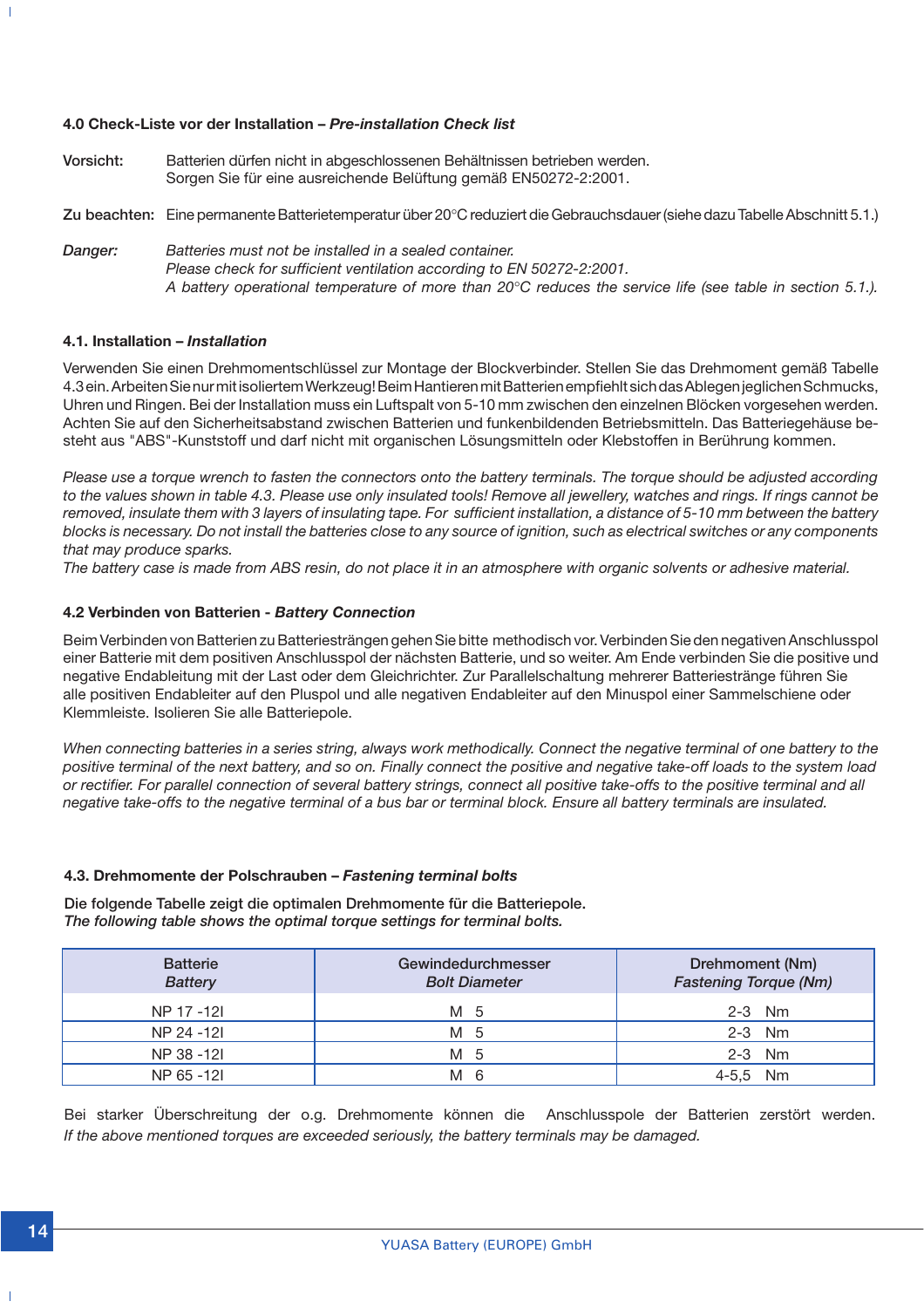#### **4.0 Check-Liste vor der Installation –** *Pre-installation Check list*

**Vorsicht:** Batterien dürfen nicht in abgeschlossenen Behältnissen betrieben werden. Sorgen Sie für eine ausreichende Belüftung gemäß EN50272-2:2001. **Zu beachten:** Eine permanente Batterietemperatur über 20°C reduziert die Gebrauchsdauer (siehe dazu Tabelle Abschnitt 5.1.) *Danger: Batteries must not be installed in a sealed container. Please check for sufficient ventilation according to EN 50272-2:2001. A battery operational temperature of more than 20*°*C reduces the service life (see table in section 5.1.).*

#### **4.1. Installation –** *Installation*

 $\overline{\phantom{a}}$ 

Verwenden Sie einen Drehmomentschlüssel zur Montage der Blockverbinder. Stellen Sie das Drehmoment gemäß Tabelle 4.3 ein. Arbeiten Sie nur mit isoliertem Werkzeug! Beim Hantieren mit Batterien empfiehlt sich das Ablegen jeglichen Schmucks, Uhren und Ringen. Bei der Installation muss ein Luftspalt von 5-10 mm zwischen den einzelnen Blöcken vorgesehen werden. Achten Sie auf den Sicherheitsabstand zwischen Batterien und funkenbildenden Betriebsmitteln. Das Batteriegehäuse besteht aus "ABS"-Kunststoff und darf nicht mit organischen Lösungsmitteln oder Klebstoffen in Berührung kommen.

*Please use a torque wrench to fasten the connectors onto the battery terminals. The torque should be adjusted according to the values shown in table 4.3. Please use only insulated tools! Remove all jewellery, watches and rings. If rings cannot be removed, insulate them with 3 layers of insulating tape. For sufficient installation, a distance of 5-10 mm between the battery blocks is necessary. Do not install the batteries close to any source of ignition, such as electrical switches or any components that may produce sparks.*

*The battery case is made from ABS resin, do not place it in an atmosphere with organic solvents or adhesive material.*

#### **4.2 Verbinden von Batterien -** *Battery Connection*

Beim Verbinden von Batterien zu Batteriesträngen gehen Sie bitte methodisch vor. Verbinden Sie den negativen Anschlusspol einer Batterie mit dem positiven Anschlusspol der nächsten Batterie, und so weiter. Am Ende verbinden Sie die positive und negative Endableitung mit der Last oder dem Gleichrichter. Zur Parallelschaltung mehrerer Batteriestränge führen Sie alle positiven Endableiter auf den Pluspol und alle negativen Endableiter auf den Minuspol einer Sammelschiene oder Klemmleiste. Isolieren Sie alle Batteriepole.

*When connecting batteries in a series string, always work methodically. Connect the negative terminal of one battery to the positive terminal of the next battery, and so on. Finally connect the positive and negative take-off loads to the system load or rectifier. For parallel connection of several battery strings, connect all positive take-offs to the positive terminal and all negative take-offs to the negative terminal of a bus bar or terminal block. Ensure all battery terminals are insulated.*

#### **4.3. Drehmomente der Polschrauben –** *Fastening terminal bolts*

**Die folgende Tabelle zeigt die optimalen Drehmomente für die Batteriepole.** *The following table shows the optimal torque settings for terminal bolts.*

| <b>Batterie</b><br><b>Battery</b> | Gewindedurchmesser<br><b>Bolt Diameter</b> | Drehmoment (Nm)<br><b>Fastening Torque (Nm)</b> |
|-----------------------------------|--------------------------------------------|-------------------------------------------------|
| NP 17 -12I                        | M 5                                        | $2-3$ Nm                                        |
| NP 24 -121                        | M 5                                        | $2-3$ Nm                                        |
| NP 38 -121                        | M 5                                        | $2-3$ Nm                                        |
| NP 65 -121                        | М<br>6                                     | <b>Nm</b>                                       |

Bei starker Überschreitung der o.g. Drehmomente können die Anschlusspole der Batterien zerstört werden. *If the above mentioned torques are exceeded seriously, the battery terminals may be damaged.*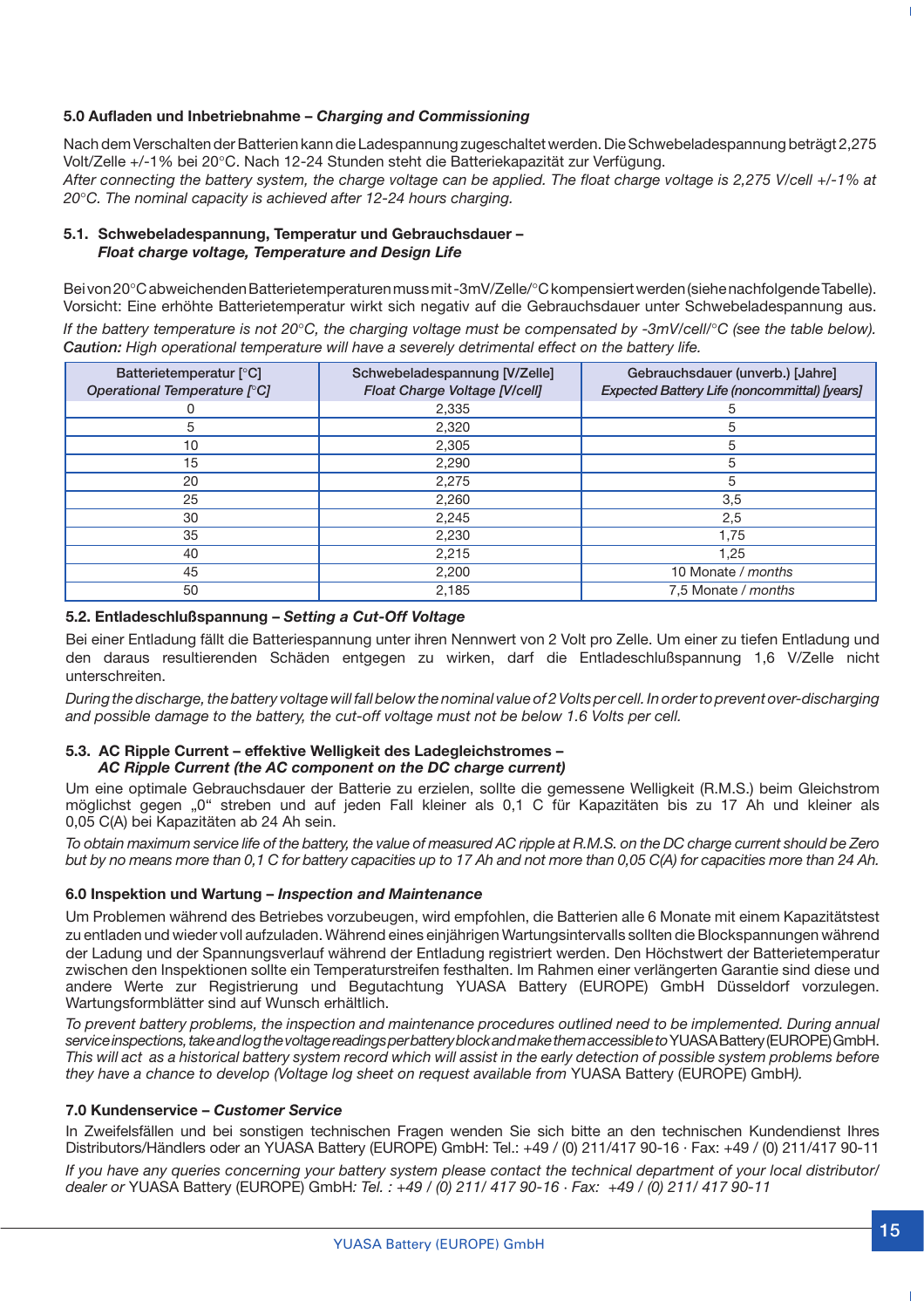#### **5.0 Aufladen und Inbetriebnahme –** *Charging and Commissioning*

Nach dem Verschalten der Batterien kann die Ladespannung zugeschaltet werden. Die Schwebeladespannung beträgt 2,275 Volt/Zelle +/-1% bei 20°C. Nach 12-24 Stunden steht die Batteriekapazität zur Verfügung. *After connecting the battery system, the charge voltage can be applied. The float charge voltage is 2,275 V/cell +/-1% at 20*°*C. The nominal capacity is achieved after 12-24 hours charging.*

#### **5.1. Schwebeladespannung, Temperatur und Gebrauchsdauer –** *Float charge voltage, Temperature and Design Life*

Bei von 20°C abweichenden Batterietemperaturen muss mit -3mV/Zelle/°C kompensiert werden (siehe nachfolgende Tabelle). Vorsicht: Eine erhöhte Batterietemperatur wirkt sich negativ auf die Gebrauchsdauer unter Schwebeladespannung aus. *If the battery temperature is not 20*°*C, the charging voltage must be compensated by -3mV/cell/*°*C (see the table below). Caution: High operational temperature will have a severely detrimental effect on the battery life.*

| Batterietemperatur [°C]<br>Operational Temperature [°C] | Schwebeladespannung [V/Zelle]<br>Float Charge Voltage [V/cell] | Gebrauchsdauer (unverb.) [Jahre]<br>Expected Battery Life (noncommittal) [years] |  |  |  |  |
|---------------------------------------------------------|----------------------------------------------------------------|----------------------------------------------------------------------------------|--|--|--|--|
|                                                         | 2,335                                                          | 5                                                                                |  |  |  |  |
| 5                                                       | 2,320                                                          | ۰h                                                                               |  |  |  |  |
| 10                                                      | 2,305                                                          | 5                                                                                |  |  |  |  |
| 15                                                      | 2,290                                                          | 5                                                                                |  |  |  |  |
| 20                                                      | 2,275                                                          | 5                                                                                |  |  |  |  |
| 25                                                      | 2,260                                                          | 3,5                                                                              |  |  |  |  |
| 30                                                      | 2,245                                                          | 2,5                                                                              |  |  |  |  |
| 35                                                      | 2,230                                                          | 1,75                                                                             |  |  |  |  |
| 40                                                      | 2,215                                                          | 1,25                                                                             |  |  |  |  |
| 45                                                      | 2,200                                                          | 10 Monate / months                                                               |  |  |  |  |
| 50                                                      | 2,185                                                          | 7,5 Monate / months                                                              |  |  |  |  |

**5.2. Entladeschlußspannung –** *Setting a Cut-Off Voltage*

Bei einer Entladung fällt die Batteriespannung unter ihren Nennwert von 2 Volt pro Zelle. Um einer zu tiefen Entladung und den daraus resultierenden Schäden entgegen zu wirken, darf die Entladeschlußspannung 1,6 V/Zelle nicht unterschreiten.

*During the discharge, the battery voltage will fall below the nominal value of 2 Volts per cell. In order to prevent over-discharging and possible damage to the battery, the cut-off voltage must not be below 1.6 Volts per cell.*

#### **5.3. AC Ripple Current – effektive Welligkeit des Ladegleichstromes –** *AC Ripple Current (the AC component on the DC charge current)*

Um eine optimale Gebrauchsdauer der Batterie zu erzielen, sollte die gemessene Welligkeit (R.M.S.) beim Gleichstrom möglichst gegen "0" streben und auf jeden Fall kleiner als 0,1 C für Kapazitäten bis zu 17 Ah und kleiner als 0,05 C(A) bei Kapazitäten ab 24 Ah sein.

*To obtain maximum service life of the battery, the value of measured AC ripple at R.M.S. on the DC charge current should be Zero but by no means more than 0,1 C for battery capacities up to 17 Ah and not more than 0,05 C(A) for capacities more than 24 Ah.*

#### **6.0 Inspektion und Wartung –** *Inspection and Maintenance*

Um Problemen während des Betriebes vorzubeugen, wird empfohlen, die Batterien alle 6 Monate mit einem Kapazitätstest zu entladen und wieder voll aufzuladen. Während eines einjährigen Wartungsintervalls sollten die Blockspannungen während der Ladung und der Spannungsverlauf während der Entladung registriert werden. Den Höchstwert der Batterietemperatur zwischen den Inspektionen sollte ein Temperaturstreifen festhalten. Im Rahmen einer verlängerten Garantie sind diese und andere Werte zur Registrierung und Begutachtung YUASA Battery (EUROPE) GmbH Düsseldorf vorzulegen. Wartungsformblätter sind auf Wunsch erhältlich.

*To prevent battery problems, the inspection and maintenance procedures outlined need to be implemented. During annual service inspections, take and log the voltage readings per battery block and make them accessible to* YUASA Battery (EUROPE) GmbH. *This will act as a historical battery system record which will assist in the early detection of possible system problems before they have a chance to develop (Voltage log sheet on request available from* YUASA Battery (EUROPE) GmbH*).*

#### **7.0 Kundenservice –** *Customer Service*

In Zweifelsfällen und bei sonstigen technischen Fragen wenden Sie sich bitte an den technischen Kundendienst Ihres Distributors/Händlers oder an YUASA Battery (EUROPE) GmbH: Tel.: +49 / (0) 211/417 90-16 · Fax: +49 / (0) 211/417 90-11

*If you have any queries concerning your battery system please contact the technical department of your local distributor/ dealer or* YUASA Battery (EUROPE) GmbH*: Tel. : +49 / (0) 211/ 417 90-16 · Fax: +49 / (0) 211/ 417 90-11*

 $\mathbf{I}$ 

 $\mathbf{I}$